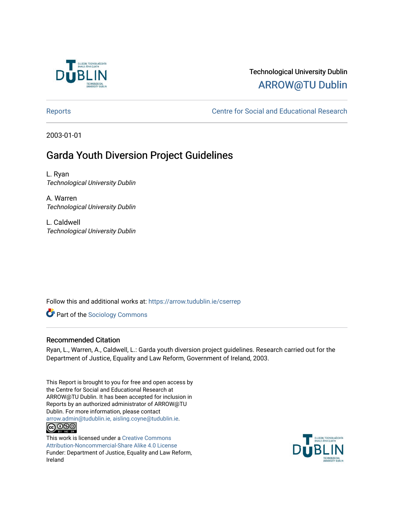

# Technological University Dublin [ARROW@TU Dublin](https://arrow.tudublin.ie/)

[Reports](https://arrow.tudublin.ie/cserrep) **Centre for Social and Educational Research** 

2003-01-01

# Garda Youth Diversion Project Guidelines

L. Ryan Technological University Dublin

A. Warren Technological University Dublin

L. Caldwell Technological University Dublin

Follow this and additional works at: [https://arrow.tudublin.ie/cserrep](https://arrow.tudublin.ie/cserrep?utm_source=arrow.tudublin.ie%2Fcserrep%2F6&utm_medium=PDF&utm_campaign=PDFCoverPages)

**Part of the [Sociology Commons](http://network.bepress.com/hgg/discipline/416?utm_source=arrow.tudublin.ie%2Fcserrep%2F6&utm_medium=PDF&utm_campaign=PDFCoverPages)** 

### Recommended Citation

Ryan, L., Warren, A., Caldwell, L.: Garda youth diversion project guidelines. Research carried out for the Department of Justice, Equality and Law Reform, Government of Ireland, 2003.

This Report is brought to you for free and open access by the Centre for Social and Educational Research at ARROW@TU Dublin. It has been accepted for inclusion in Reports by an authorized administrator of ARROW@TU Dublin. For more information, please contact [arrow.admin@tudublin.ie, aisling.coyne@tudublin.ie](mailto:arrow.admin@tudublin.ie,%20aisling.coyne@tudublin.ie). <u>@000</u>

This work is licensed under a [Creative Commons](http://creativecommons.org/licenses/by-nc-sa/4.0/) [Attribution-Noncommercial-Share Alike 4.0 License](http://creativecommons.org/licenses/by-nc-sa/4.0/) Funder: Department of Justice, Equality and Law Reform, Ireland

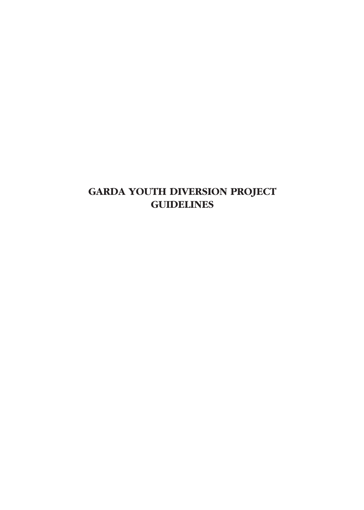# **GARDA YOUTH DIVERSION PROJECT GUIDELINES**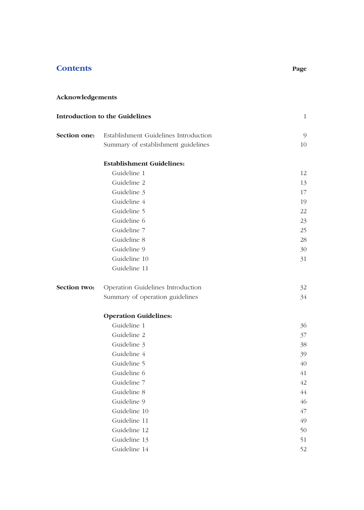# **Contents Page**

# **Acknowledgements**

| <b>Introduction to the Guidelines</b> | $\mathbf{1}$                          |    |
|---------------------------------------|---------------------------------------|----|
| Section one:                          | Establishment Guidelines Introduction | 9  |
|                                       | Summary of establishment guidelines   | 10 |
|                                       | <b>Establishment Guidelines:</b>      |    |
|                                       | Guideline 1                           | 12 |
|                                       | Guideline 2                           | 13 |
|                                       | Guideline 3                           | 17 |
|                                       | Guideline 4                           | 19 |
|                                       | Guideline 5                           | 22 |
|                                       | Guideline 6                           | 23 |
|                                       | Guideline 7                           | 25 |
|                                       | Guideline 8                           | 28 |
|                                       | Guideline 9                           | 30 |
|                                       | Guideline 10                          | 31 |
|                                       | Guideline 11                          |    |
| Section two:                          | Operation Guidelines Introduction     | 32 |
|                                       | Summary of operation guidelines       | 34 |
|                                       | <b>Operation Guidelines:</b>          |    |
|                                       | Guideline 1                           | 36 |
|                                       | Guideline 2                           | 37 |
|                                       | Guideline 3                           | 38 |
|                                       | Guideline 4                           | 39 |
|                                       | Guideline 5                           | 40 |
|                                       | Guideline 6                           | 41 |
|                                       | Guideline 7                           | 42 |
|                                       | Guideline 8                           | 44 |
|                                       | Guideline 9                           | 46 |
|                                       | Guideline 10                          | 47 |
|                                       | Guideline 11                          | 49 |
|                                       | Guideline 12                          | 50 |
|                                       | Guideline 13                          | 51 |
|                                       | Guideline 14                          | 52 |
|                                       |                                       |    |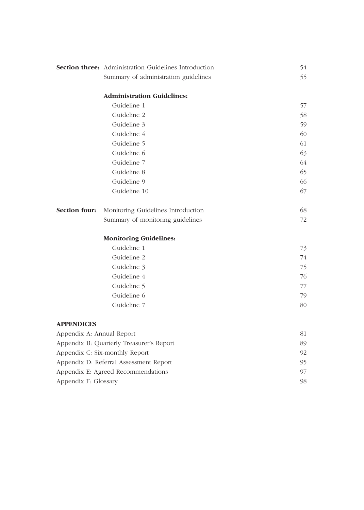|                                          | <b>Section three:</b> Administration Guidelines Introduction | 54 |
|------------------------------------------|--------------------------------------------------------------|----|
|                                          | Summary of administration guidelines                         | 55 |
|                                          | <b>Administration Guidelines:</b>                            |    |
|                                          | Guideline 1                                                  | 57 |
|                                          | Guideline 2                                                  | 58 |
|                                          | Guideline 3                                                  | 59 |
|                                          | Guideline 4                                                  | 60 |
|                                          | Guideline 5                                                  | 61 |
|                                          | Guideline 6                                                  | 63 |
|                                          | Guideline 7                                                  | 64 |
|                                          | Guideline 8                                                  | 65 |
|                                          | Guideline 9                                                  | 66 |
|                                          | Guideline 10                                                 | 67 |
| Section four:                            | Monitoring Guidelines Introduction                           | 68 |
|                                          | Summary of monitoring guidelines                             | 72 |
|                                          | <b>Monitoring Guidelines:</b>                                |    |
|                                          | Guideline 1                                                  | 73 |
|                                          | Guideline 2                                                  | 74 |
|                                          | Guideline 3                                                  | 75 |
|                                          | Guideline 4                                                  | 76 |
|                                          | Guideline 5                                                  | 77 |
|                                          | Guideline 6                                                  | 79 |
|                                          | Guideline 7                                                  | 80 |
| <b>APPENDICES</b>                        |                                                              |    |
| Appendix A: Annual Report                | 81                                                           |    |
| Appendix B: Quarterly Treasurer's Report |                                                              | 89 |
|                                          | Appendix C: Six-monthly Report                               | 92 |
|                                          | Appendix D: Referral Assessment Report                       | 95 |
| Appendix E: Agreed Recommendations       | 97                                                           |    |
| Appendix F: Glossary                     |                                                              |    |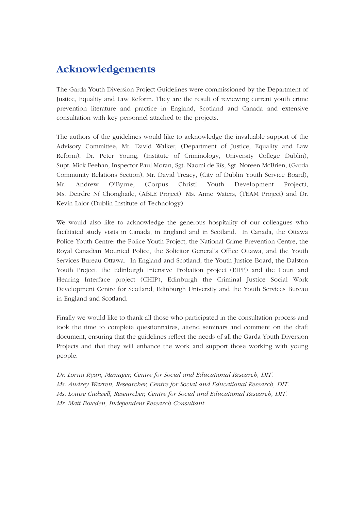# **Acknowledgements**

The Garda Youth Diversion Project Guidelines were commissioned by the Department of Justice, Equality and Law Reform. They are the result of reviewing current youth crime prevention literature and practice in England, Scotland and Canada and extensive consultation with key personnel attached to the projects.

The authors of the guidelines would like to acknowledge the invaluable support of the Advisory Committee, Mr. David Walker, (Department of Justice, Equality and Law Reform), Dr. Peter Young, (Institute of Criminology, University College Dublin), Supt. Mick Feehan, Inspector Paul Moran, Sgt. Naomi de Rís, Sgt. Noreen McBrien, (Garda Community Relations Section), Mr. David Treacy, (City of Dublin Youth Service Board), Mr. Andrew O'Byrne, (Corpus Christi Youth Development Project), Ms. Deirdre Ní Chonghaile, (ABLE Project), Ms. Anne Waters, (TEAM Project) and Dr. Kevin Lalor (Dublin Institute of Technology).

We would also like to acknowledge the generous hospitality of our colleagues who facilitated study visits in Canada, in England and in Scotland. In Canada, the Ottawa Police Youth Centre: the Police Youth Project, the National Crime Prevention Centre, the Royal Canadian Mounted Police, the Solicitor General's Office Ottawa, and the Youth Services Bureau Ottawa. In England and Scotland, the Youth Justice Board, the Dalston Youth Project, the Edinburgh Intensive Probation project (EIPP) and the Court and Hearing Interface project (CHIP), Edinburgh the Criminal Justice Social Work Development Centre for Scotland, Edinburgh University and the Youth Services Bureau in England and Scotland.

Finally we would like to thank all those who participated in the consultation process and took the time to complete questionnaires, attend seminars and comment on the draft document, ensuring that the guidelines reflect the needs of all the Garda Youth Diversion Projects and that they will enhance the work and support those working with young people.

*Dr. Lorna Ryan, Manager, Centre for Social and Educational Research, DIT. Ms. Audrey Warren, Researcher, Centre for Social and Educational Research, DIT. Ms. Louise Cadwell, Researcher, Centre for Social and Educational Research, DIT. Mr. Matt Bowden, Independent Research Consultant.*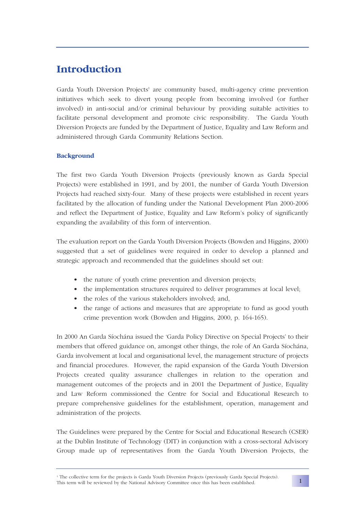# **Introduction**

Garda Youth Diversion Projects<sup>1</sup> are community based, multi-agency crime prevention initiatives which seek to divert young people from becoming involved (or further involved) in anti-social and/or criminal behaviour by providing suitable activities to facilitate personal development and promote civic responsibility. The Garda Youth Diversion Projects are funded by the Department of Justice, Equality and Law Reform and administered through Garda Community Relations Section.

### **Background**

The first two Garda Youth Diversion Projects (previously known as Garda Special Projects) were established in 1991, and by 2001, the number of Garda Youth Diversion Projects had reached sixty-four. Many of these projects were established in recent years facilitated by the allocation of funding under the National Development Plan 2000-2006 and reflect the Department of Justice, Equality and Law Reform's policy of significantly expanding the availability of this form of intervention.

The evaluation report on the Garda Youth Diversion Projects (Bowden and Higgins, 2000) suggested that a set of guidelines were required in order to develop a planned and strategic approach and recommended that the guidelines should set out:

- the nature of youth crime prevention and diversion projects;
- the implementation structures required to deliver programmes at local level;
- the roles of the various stakeholders involved; and,
- the range of actions and measures that are appropriate to fund as good youth crime prevention work (Bowden and Higgins, 2000, p. 164-165).

In 2000 An Garda Síochána issued the 'Garda Policy Directive on Special Projects' to their members that offered guidance on, amongst other things, the role of An Garda Síochána, Garda involvement at local and organisational level, the management structure of projects and financial procedures. However, the rapid expansion of the Garda Youth Diversion Projects created quality assurance challenges in relation to the operation and management outcomes of the projects and in 2001 the Department of Justice, Equality and Law Reform commissioned the Centre for Social and Educational Research to prepare comprehensive guidelines for the establishment, operation, management and administration of the projects.

The Guidelines were prepared by the Centre for Social and Educational Research (CSER) at the Dublin Institute of Technology (DIT) in conjunction with a cross-sectoral Advisory Group made up of representatives from the Garda Youth Diversion Projects, the

<sup>1</sup> The collective term for the projects is Garda Youth Diversion Projects (previously Garda Special Projects). This term will be reviewed by the National Advisory Committee once this has been established.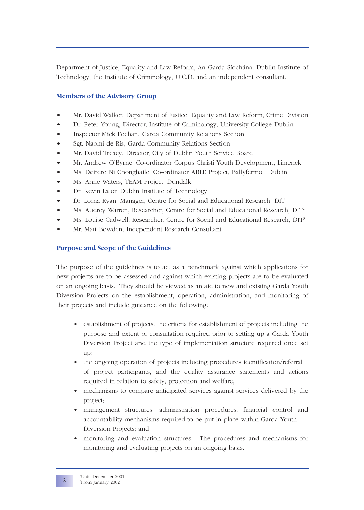Department of Justice, Equality and Law Reform, An Garda Síochána, Dublin Institute of Technology, the Institute of Criminology, U.C.D. and an independent consultant.

### **Members of the Advisory Group**

- Mr. David Walker, Department of Justice, Equality and Law Reform, Crime Division
- Dr. Peter Young, Director, Institute of Criminology, University College Dublin
- Inspector Mick Feehan, Garda Community Relations Section
- Sgt. Naomi de Rís, Garda Community Relations Section
- Mr. David Treacy, Director, City of Dublin Youth Service Board
- Mr. Andrew O'Byrne, Co-ordinator Corpus Christi Youth Development, Limerick
- Ms. Deirdre Ní Chonghaile, Co-ordinator ABLE Project, Ballyfermot, Dublin.
- Ms. Anne Waters, TEAM Project, Dundalk
- Dr. Kevin Lalor, Dublin Institute of Technology
- Dr. Lorna Ryan, Manager, Centre for Social and Educational Research, DIT
- Ms. Audrey Warren, Researcher, Centre for Social and Educational Research, DIT2
- Ms. Louise Cadwell, Researcher, Centre for Social and Educational Research, DIT3
- Mr. Matt Bowden, Independent Research Consultant

### **Purpose and Scope of the Guidelines**

The purpose of the guidelines is to act as a benchmark against which applications for new projects are to be assessed and against which existing projects are to be evaluated on an ongoing basis. They should be viewed as an aid to new and existing Garda Youth Diversion Projects on the establishment, operation, administration, and monitoring of their projects and include guidance on the following:

- establishment of projects: the criteria for establishment of projects including the purpose and extent of consultation required prior to setting up a Garda Youth Diversion Project and the type of implementation structure required once set up;
- the ongoing operation of projects including procedures identification/referral of project participants, and the quality assurance statements and actions required in relation to safety, protection and welfare;
- mechanisms to compare anticipated services against services delivered by the project;
- management structures, administration procedures, financial control and accountability mechanisms required to be put in place within Garda Youth Diversion Projects; and
- monitoring and evaluation structures. The procedures and mechanisms for monitoring and evaluating projects on an ongoing basis.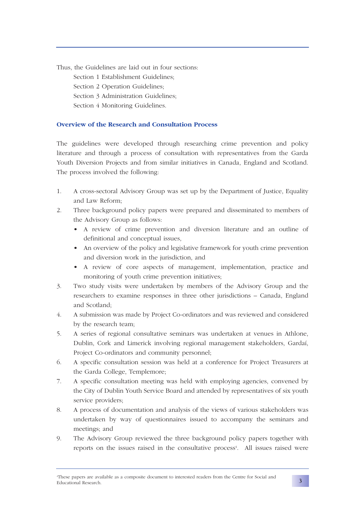Thus, the Guidelines are laid out in four sections: Section 1 Establishment Guidelines; Section 2 Operation Guidelines; Section 3 Administration Guidelines; Section 4 Monitoring Guidelines.

### **Overview of the Research and Consultation Process**

The guidelines were developed through researching crime prevention and policy literature and through a process of consultation with representatives from the Garda Youth Diversion Projects and from similar initiatives in Canada, England and Scotland. The process involved the following:

- 1. A cross-sectoral Advisory Group was set up by the Department of Justice, Equality and Law Reform;
- 2. Three background policy papers were prepared and disseminated to members of the Advisory Group as follows:
	- A review of crime prevention and diversion literature and an outline of definitional and conceptual issues,
	- An overview of the policy and legislative framework for youth crime prevention and diversion work in the jurisdiction, and
	- A review of core aspects of management, implementation, practice and monitoring of youth crime prevention initiatives;
- 3. Two study visits were undertaken by members of the Advisory Group and the researchers to examine responses in three other jurisdictions – Canada, England and Scotland;
- 4. A submission was made by Project Co-ordinators and was reviewed and considered by the research team;
- 5. A series of regional consultative seminars was undertaken at venues in Athlone, Dublin, Cork and Limerick involving regional management stakeholders, Gardaí, Project Co-ordinators and community personnel;
- 6. A specific consultation session was held at a conference for Project Treasurers at the Garda College, Templemore;
- 7. A specific consultation meeting was held with employing agencies, convened by the City of Dublin Youth Service Board and attended by representatives of six youth service providers;
- 8. A process of documentation and analysis of the views of various stakeholders was undertaken by way of questionnaires issued to accompany the seminars and meetings; and
- 9. The Advisory Group reviewed the three background policy papers together with reports on the issues raised in the consultative process<sup>4</sup>. All issues raised were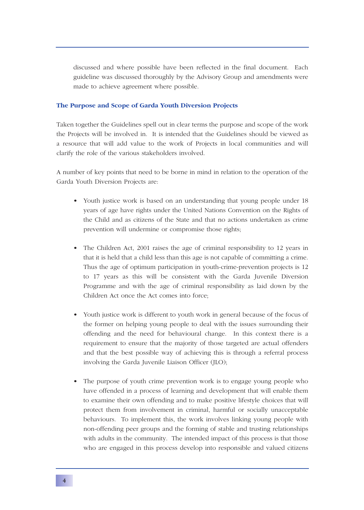discussed and where possible have been reflected in the final document. Each guideline was discussed thoroughly by the Advisory Group and amendments were made to achieve agreement where possible.

### **The Purpose and Scope of Garda Youth Diversion Projects**

Taken together the Guidelines spell out in clear terms the purpose and scope of the work the Projects will be involved in. It is intended that the Guidelines should be viewed as a resource that will add value to the work of Projects in local communities and will clarify the role of the various stakeholders involved.

A number of key points that need to be borne in mind in relation to the operation of the Garda Youth Diversion Projects are:

- Youth justice work is based on an understanding that young people under 18 years of age have rights under the United Nations Convention on the Rights of the Child and as citizens of the State and that no actions undertaken as crime prevention will undermine or compromise those rights;
- The Children Act, 2001 raises the age of criminal responsibility to 12 years in that it is held that a child less than this age is not capable of committing a crime. Thus the age of optimum participation in youth-crime-prevention projects is 12 to 17 years as this will be consistent with the Garda Juvenile Diversion Programme and with the age of criminal responsibility as laid down by the Children Act once the Act comes into force;
- Youth justice work is different to youth work in general because of the focus of the former on helping young people to deal with the issues surrounding their offending and the need for behavioural change. In this context there is a requirement to ensure that the majority of those targeted are actual offenders and that the best possible way of achieving this is through a referral process involving the Garda Juvenile Liaison Officer (JLO);
- The purpose of youth crime prevention work is to engage young people who have offended in a process of learning and development that will enable them to examine their own offending and to make positive lifestyle choices that will protect them from involvement in criminal, harmful or socially unacceptable behaviours. To implement this, the work involves linking young people with non-offending peer groups and the forming of stable and trusting relationships with adults in the community. The intended impact of this process is that those who are engaged in this process develop into responsible and valued citizens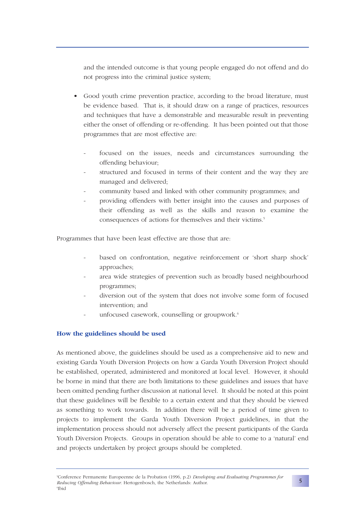and the intended outcome is that young people engaged do not offend and do not progress into the criminal justice system;

- Good youth crime prevention practice, according to the broad literature, must be evidence based. That is, it should draw on a range of practices, resources and techniques that have a demonstrable and measurable result in preventing either the onset of offending or re-offending. It has been pointed out that those programmes that are most effective are:
	- focused on the issues, needs and circumstances surrounding the offending behaviour;
	- structured and focused in terms of their content and the way they are managed and delivered;
	- community based and linked with other community programmes; and
	- providing offenders with better insight into the causes and purposes of their offending as well as the skills and reason to examine the consequences of actions for themselves and their victims.<sup>5</sup>

Programmes that have been least effective are those that are:

- based on confrontation, negative reinforcement or 'short sharp shock' approaches;
- area wide strategies of prevention such as broadly based neighbourhood programmes;
- diversion out of the system that does not involve some form of focused intervention; and
- unfocused casework, counselling or groupwork.<sup>6</sup>

### **How the guidelines should be used**

As mentioned above, the guidelines should be used as a comprehensive aid to new and existing Garda Youth Diversion Projects on how a Garda Youth Diversion Project should be established, operated, administered and monitored at local level. However, it should be borne in mind that there are both limitations to these guidelines and issues that have been omitted pending further discussion at national level. It should be noted at this point that these guidelines will be flexible to a certain extent and that they should be viewed as something to work towards. In addition there will be a period of time given to projects to implement the Garda Youth Diversion Project guidelines, in that the implementation process should not adversely affect the present participants of the Garda Youth Diversion Projects. Groups in operation should be able to come to a 'natural' end and projects undertaken by project groups should be completed.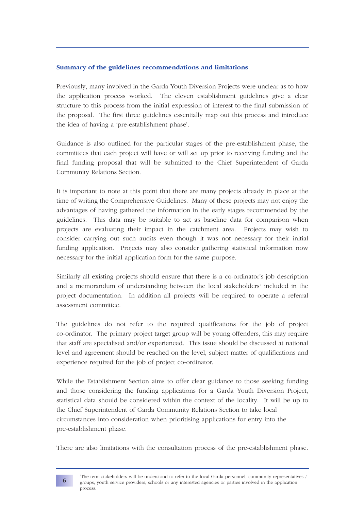### **Summary of the guidelines recommendations and limitations**

Previously, many involved in the Garda Youth Diversion Projects were unclear as to how the application process worked. The eleven establishment guidelines give a clear structure to this process from the initial expression of interest to the final submission of the proposal. The first three guidelines essentially map out this process and introduce the idea of having a 'pre-establishment phase'.

Guidance is also outlined for the particular stages of the pre-establishment phase, the committees that each project will have or will set up prior to receiving funding and the final funding proposal that will be submitted to the Chief Superintendent of Garda Community Relations Section.

It is important to note at this point that there are many projects already in place at the time of writing the Comprehensive Guidelines. Many of these projects may not enjoy the advantages of having gathered the information in the early stages recommended by the guidelines. This data may be suitable to act as baseline data for comparison when projects are evaluating their impact in the catchment area. Projects may wish to consider carrying out such audits even though it was not necessary for their initial funding application. Projects may also consider gathering statistical information now necessary for the initial application form for the same purpose.

Similarly all existing projects should ensure that there is a co-ordinator's job description and a memorandum of understanding between the local stakeholders<sup>7</sup> included in the project documentation. In addition all projects will be required to operate a referral assessment committee.

The guidelines do not refer to the required qualifications for the job of project co-ordinator. The primary project target group will be young offenders, this may require that staff are specialised and/or experienced. This issue should be discussed at national level and agreement should be reached on the level, subject matter of qualifications and experience required for the job of project co-ordinator.

While the Establishment Section aims to offer clear guidance to those seeking funding and those considering the funding applications for a Garda Youth Diversion Project, statistical data should be considered within the context of the locality. It will be up to the Chief Superintendent of Garda Community Relations Section to take local circumstances into consideration when prioritising applications for entry into the pre-establishment phase.

There are also limitations with the consultation process of the pre-establishment phase.

**6**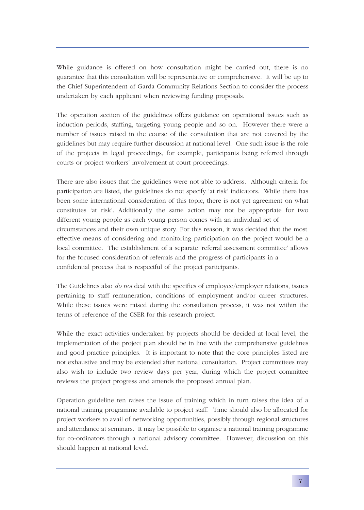While guidance is offered on how consultation might be carried out, there is no guarantee that this consultation will be representative or comprehensive. It will be up to the Chief Superintendent of Garda Community Relations Section to consider the process undertaken by each applicant when reviewing funding proposals.

The operation section of the guidelines offers guidance on operational issues such as induction periods, staffing, targeting young people and so on. However there were a number of issues raised in the course of the consultation that are not covered by the guidelines but may require further discussion at national level. One such issue is the role of the projects in legal proceedings, for example, participants being referred through courts or project workers' involvement at court proceedings.

There are also issues that the guidelines were not able to address. Although criteria for participation are listed, the guidelines do not specify 'at risk' indicators. While there has been some international consideration of this topic, there is not yet agreement on what constitutes 'at risk'. Additionally the same action may not be appropriate for two different young people as each young person comes with an individual set of circumstances and their own unique story. For this reason, it was decided that the most effective means of considering and monitoring participation on the project would be a local committee. The establishment of a separate 'referral assessment committee' allows for the focused consideration of referrals and the progress of participants in a confidential process that is respectful of the project participants.

The Guidelines also *do not* deal with the specifics of employee/employer relations, issues pertaining to staff remuneration, conditions of employment and/or career structures. While these issues were raised during the consultation process, it was not within the terms of reference of the CSER for this research project.

While the exact activities undertaken by projects should be decided at local level, the implementation of the project plan should be in line with the comprehensive guidelines and good practice principles. It is important to note that the core principles listed are not exhaustive and may be extended after national consultation. Project committees may also wish to include two review days per year, during which the project committee reviews the project progress and amends the proposed annual plan.

Operation guideline ten raises the issue of training which in turn raises the idea of a national training programme available to project staff. Time should also be allocated for project workers to avail of networking opportunities, possibly through regional structures and attendance at seminars. It may be possible to organise a national training programme for co-ordinators through a national advisory committee. However, discussion on this should happen at national level.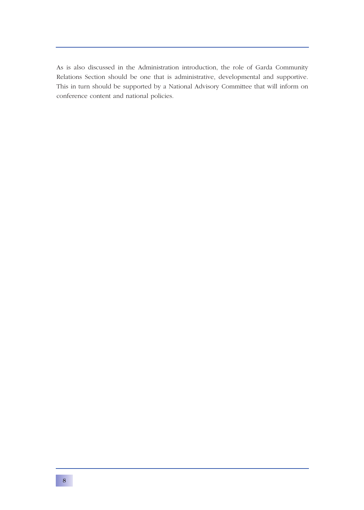As is also discussed in the Administration introduction, the role of Garda Community Relations Section should be one that is administrative, developmental and supportive. This in turn should be supported by a National Advisory Committee that will inform on conference content and national policies.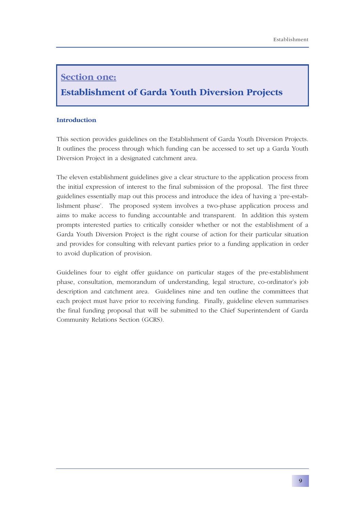# **Section one:**

# **Establishment of Garda Youth Diversion Projects**

### **Introduction**

This section provides guidelines on the Establishment of Garda Youth Diversion Projects. It outlines the process through which funding can be accessed to set up a Garda Youth Diversion Project in a designated catchment area.

The eleven establishment guidelines give a clear structure to the application process from the initial expression of interest to the final submission of the proposal. The first three guidelines essentially map out this process and introduce the idea of having a 'pre-establishment phase'. The proposed system involves a two-phase application process and aims to make access to funding accountable and transparent. In addition this system prompts interested parties to critically consider whether or not the establishment of a Garda Youth Diversion Project is the right course of action for their particular situation and provides for consulting with relevant parties prior to a funding application in order to avoid duplication of provision.

Guidelines four to eight offer guidance on particular stages of the pre-establishment phase, consultation, memorandum of understanding, legal structure, co-ordinator's job description and catchment area. Guidelines nine and ten outline the committees that each project must have prior to receiving funding. Finally, guideline eleven summarises the final funding proposal that will be submitted to the Chief Superintendent of Garda Community Relations Section (GCRS).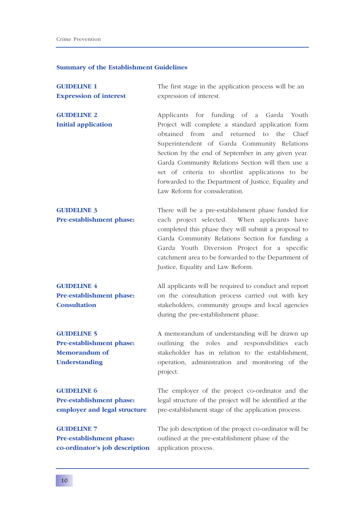## **Summary of the Establishment Guidelines**

| <b>GUIDELINE 1</b>                                                       | The first stage in the application process will be an                                                                                                                                                                                                                                                                                                                                                       |
|--------------------------------------------------------------------------|-------------------------------------------------------------------------------------------------------------------------------------------------------------------------------------------------------------------------------------------------------------------------------------------------------------------------------------------------------------------------------------------------------------|
| <b>Expression of interest</b>                                            | expression of interest.                                                                                                                                                                                                                                                                                                                                                                                     |
|                                                                          |                                                                                                                                                                                                                                                                                                                                                                                                             |
| <b>GUIDELINE 2</b>                                                       | Applicants for funding of a Garda Youth                                                                                                                                                                                                                                                                                                                                                                     |
| <b>Initial application</b>                                               | Project will complete a standard application form<br>obtained from<br>and returned to<br>the<br>Chief<br>Superintendent of Garda Community Relations<br>Section by the end of September in any given year.<br>Garda Community Relations Section will then use a<br>set of criteria to shortlist applications to be<br>forwarded to the Department of Justice, Equality and<br>Law Reform for consideration. |
| <b>GUIDELINE 3</b>                                                       | There will be a pre-establishment phase funded for                                                                                                                                                                                                                                                                                                                                                          |
| Pre-establishment phase:                                                 | each project selected. When applicants have<br>completed this phase they will submit a proposal to<br>Garda Community Relations Section for funding a<br>Garda Youth Diversion Project for a specific<br>catchment area to be forwarded to the Department of<br>Justice, Equality and Law Reform.                                                                                                           |
| <b>GUIDELINE 4</b>                                                       | All applicants will be required to conduct and report                                                                                                                                                                                                                                                                                                                                                       |
| Pre-establishment phase:<br><b>Consultation</b>                          | on the consultation process carried out with key<br>stakeholders, community groups and local agencies<br>during the pre-establishment phase.                                                                                                                                                                                                                                                                |
| <b>GUIDELINE 5</b>                                                       | A memorandum of understanding will be drawn up                                                                                                                                                                                                                                                                                                                                                              |
| Pre-establishment phase:<br><b>Memorandum of</b><br><b>Understanding</b> | outlining the roles and responsibilities each<br>stakeholder has in relation to the establishment,<br>operation, administration and monitoring of the<br>project.                                                                                                                                                                                                                                           |
| <b>GUIDELINE 6</b>                                                       | The employer of the project co-ordinator and the                                                                                                                                                                                                                                                                                                                                                            |
| Pre-establishment phase:<br>employer and legal structure                 | legal structure of the project will be identified at the<br>pre-establishment stage of the application process.                                                                                                                                                                                                                                                                                             |
| <b>GUIDELINE 7</b>                                                       | The job description of the project co-ordinator will be                                                                                                                                                                                                                                                                                                                                                     |
| Pre-establishment phase:<br>co-ordinator's job description               | outlined at the pre-establishment phase of the<br>application process.                                                                                                                                                                                                                                                                                                                                      |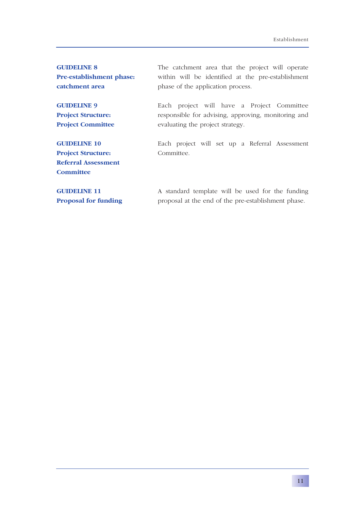| <b>GUIDELINE 8</b>          | The catchment area that the project will operate    |
|-----------------------------|-----------------------------------------------------|
| Pre-establishment phase:    | within will be identified at the pre-establishment  |
| catchment area              | phase of the application process.                   |
| <b>GUIDELINE 9</b>          | Each project will have a Project Committee          |
| <b>Project Structure:</b>   | responsible for advising, approving, monitoring and |
| <b>Project Committee</b>    | evaluating the project strategy.                    |
| <b>GUIDELINE 10</b>         | Each project will set up a Referral Assessment      |
| <b>Project Structure:</b>   | Committee.                                          |
| <b>Referral Assessment</b>  |                                                     |
| <b>Committee</b>            |                                                     |
| <b>GUIDELINE 11</b>         | A standard template will be used for the funding    |
| <b>Proposal for funding</b> | proposal at the end of the pre-establishment phase. |
|                             |                                                     |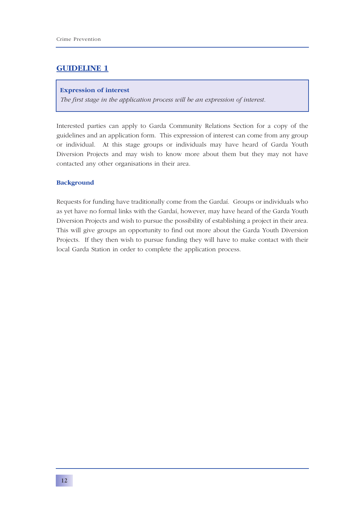### **Expression of interest**

*The first stage in the application process will be an expression of interest.*

Interested parties can apply to Garda Community Relations Section for a copy of the guidelines and an application form. This expression of interest can come from any group or individual. At this stage groups or individuals may have heard of Garda Youth Diversion Projects and may wish to know more about them but they may not have contacted any other organisations in their area.

### **Background**

Requests for funding have traditionally come from the Gardaí. Groups or individuals who as yet have no formal links with the Gardaí, however, may have heard of the Garda Youth Diversion Projects and wish to pursue the possibility of establishing a project in their area. This will give groups an opportunity to find out more about the Garda Youth Diversion Projects. If they then wish to pursue funding they will have to make contact with their local Garda Station in order to complete the application process.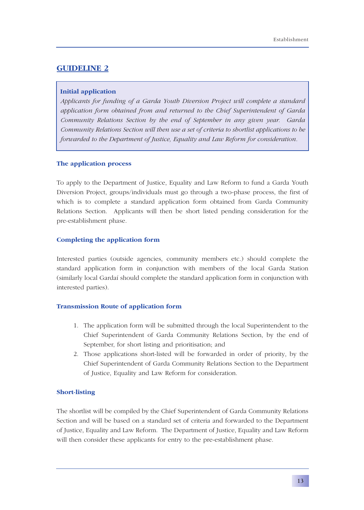### **Initial application**

*Applicants for funding of a Garda Youth Diversion Project will complete a standard application form obtained from and returned to the Chief Superintendent of Garda Community Relations Section by the end of September in any given year. Garda Community Relations Section will then use a set of criteria to shortlist applications to be forwarded to the Department of Justice, Equality and Law Reform for consideration.*

### **The application process**

To apply to the Department of Justice, Equality and Law Reform to fund a Garda Youth Diversion Project, groups/individuals must go through a two-phase process, the first of which is to complete a standard application form obtained from Garda Community Relations Section. Applicants will then be short listed pending consideration for the pre-establishment phase.

### **Completing the application form**

Interested parties (outside agencies, community members etc.) should complete the standard application form in conjunction with members of the local Garda Station (similarly local Gardaí should complete the standard application form in conjunction with interested parties).

### **Transmission Route of application form**

- 1. The application form will be submitted through the local Superintendent to the Chief Superintendent of Garda Community Relations Section, by the end of September, for short listing and prioritisation; and
- 2. Those applications short-listed will be forwarded in order of priority, by the Chief Superintendent of Garda Community Relations Section to the Department of Justice, Equality and Law Reform for consideration.

### **Short-listing**

The shortlist will be compiled by the Chief Superintendent of Garda Community Relations Section and will be based on a standard set of criteria and forwarded to the Department of Justice, Equality and Law Reform. The Department of Justice, Equality and Law Reform will then consider these applicants for entry to the pre-establishment phase.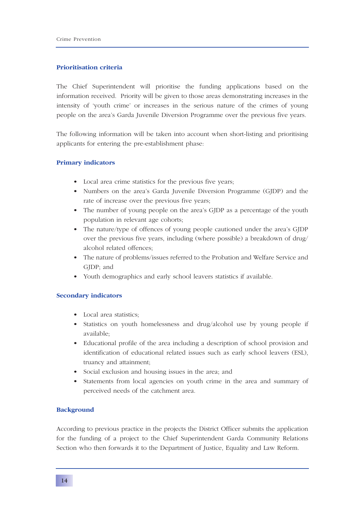### **Prioritisation criteria**

The Chief Superintendent will prioritise the funding applications based on the information received. Priority will be given to those areas demonstrating increases in the intensity of 'youth crime' or increases in the serious nature of the crimes of young people on the area's Garda Juvenile Diversion Programme over the previous five years.

The following information will be taken into account when short-listing and prioritising applicants for entering the pre-establishment phase:

### **Primary indicators**

- Local area crime statistics for the previous five years;
- Numbers on the area's Garda Juvenile Diversion Programme (GJDP) and the rate of increase over the previous five years;
- The number of young people on the area's GJDP as a percentage of the youth population in relevant age cohorts;
- The nature/type of offences of young people cautioned under the area's GJDP over the previous five years, including (where possible) a breakdown of drug/ alcohol related offences;
- The nature of problems/issues referred to the Probation and Welfare Service and GJDP; and
- Youth demographics and early school leavers statistics if available.

### **Secondary indicators**

- Local area statistics;
- Statistics on youth homelessness and drug/alcohol use by young people if available;
- Educational profile of the area including a description of school provision and identification of educational related issues such as early school leavers (ESL), truancy and attainment;
- Social exclusion and housing issues in the area; and
- Statements from local agencies on youth crime in the area and summary of perceived needs of the catchment area.

### **Background**

According to previous practice in the projects the District Officer submits the application for the funding of a project to the Chief Superintendent Garda Community Relations Section who then forwards it to the Department of Justice, Equality and Law Reform.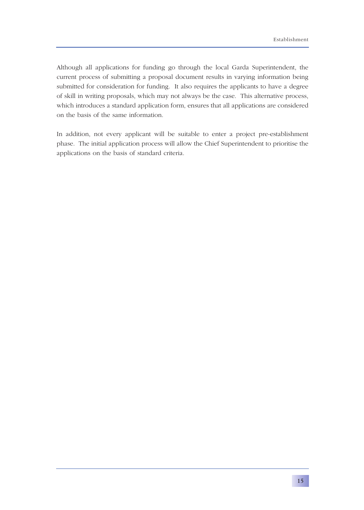Although all applications for funding go through the local Garda Superintendent, the current process of submitting a proposal document results in varying information being submitted for consideration for funding. It also requires the applicants to have a degree of skill in writing proposals, which may not always be the case. This alternative process, which introduces a standard application form, ensures that all applications are considered on the basis of the same information.

In addition, not every applicant will be suitable to enter a project pre-establishment phase. The initial application process will allow the Chief Superintendent to prioritise the applications on the basis of standard criteria.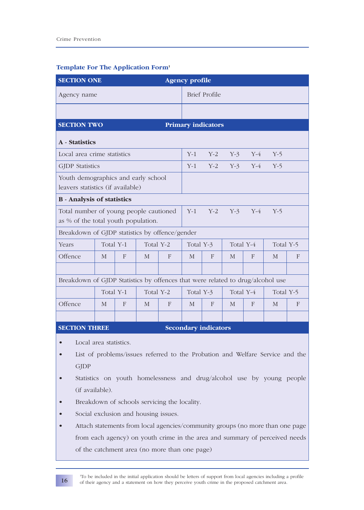| <b>SECTION ONE</b><br><b>Agency profile</b>                                                             |              |   |                      |       |                        |                           |           |           |           |   |
|---------------------------------------------------------------------------------------------------------|--------------|---|----------------------|-------|------------------------|---------------------------|-----------|-----------|-----------|---|
| Agency name                                                                                             |              |   | <b>Brief Profile</b> |       |                        |                           |           |           |           |   |
|                                                                                                         |              |   |                      |       |                        |                           |           |           |           |   |
| <b>SECTION TWO</b>                                                                                      |              |   |                      |       |                        | <b>Primary indicators</b> |           |           |           |   |
| A - Statistics                                                                                          |              |   |                      |       |                        |                           |           |           |           |   |
| Local area crime statistics                                                                             |              |   |                      |       | $Y-1$                  | $Y-2$                     | $Y-3$     | $Y-4$     | $Y-5$     |   |
| <b>GJDP</b> Statistics                                                                                  |              |   |                      |       | $Y-1$                  | $Y-2$                     | $Y-3$     | $Y-4$     | $Y-5$     |   |
| Youth demographics and early school<br>leavers statistics (if available)                                |              |   |                      |       |                        |                           |           |           |           |   |
| <b>B</b> - Analysis of statistics                                                                       |              |   |                      |       |                        |                           |           |           |           |   |
| Total number of young people cautioned<br>as % of the total youth population.                           |              |   | $Y-1$                | $Y-2$ | $Y-3$                  | $Y-4$                     | $Y-5$     |           |           |   |
| Breakdown of GJDP statistics by offence/gender                                                          |              |   |                      |       |                        |                           |           |           |           |   |
| Years                                                                                                   | Total Y-1    |   | Total Y-2            |       | Total Y-3<br>Total Y-4 |                           |           | Total Y-5 |           |   |
| Offence                                                                                                 | $\mathbf{M}$ | F | $\mathbf{M}$         | F     | M                      | F                         | M         | F         | M         | F |
| Breakdown of GJDP Statistics by offences that were related to drug/alcohol use                          |              |   |                      |       |                        |                           |           |           |           |   |
|                                                                                                         | Total Y-1    |   | Total Y-2            |       | Total Y-3              |                           | Total Y-4 |           | Total Y-5 |   |
| Offence                                                                                                 | $\mathbf{M}$ | F | M                    | F     | $\mathbf{M}$           | F                         | M         | F         | M         | F |
|                                                                                                         |              |   |                      |       |                        |                           |           |           |           |   |
| <b>Secondary indicators</b><br><b>SECTION THREE</b>                                                     |              |   |                      |       |                        |                           |           |           |           |   |
| Local area statistics.<br>List of problems/issues referred to the Probation and Welfare Service and the |              |   |                      |       |                        |                           |           |           |           |   |

### **Template For The Application Form1**

- List of problems/issues referred to the Probation and Welfare Service and the **GJDP**
- Statistics on youth homelessness and drug/alcohol use by young people (if available).
- Breakdown of schools servicing the locality.
- Social exclusion and housing issues.
- Attach statements from local agencies/community groups (no more than one page from each agency) on youth crime in the area and summary of perceived needs of the catchment area (no more than one page)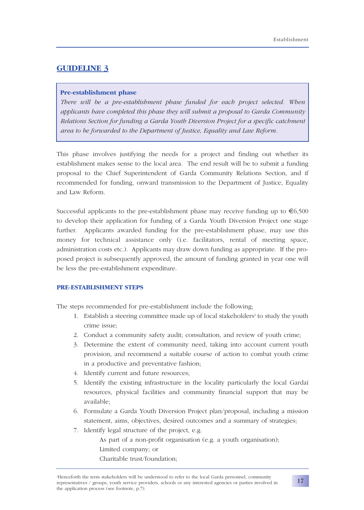### **Pre-establishment phase**

*There will be a pre-establishment phase funded for each project selected. When applicants have completed this phase they will submit a proposal to Garda Community Relations Section for funding a Garda Youth Diversion Project for a specific catchment area to be forwarded to the Department of Justice, Equality and Law Reform.* 

This phase involves justifying the needs for a project and finding out whether its establishment makes sense to the local area. The end result will be to submit a funding proposal to the Chief Superintendent of Garda Community Relations Section, and if recommended for funding, onward transmission to the Department of Justice, Equality and Law Reform.

Successful applicants to the pre-establishment phase may receive funding up to  $\epsilon$ 6,500 to develop their application for funding of a Garda Youth Diversion Project one stage further. Applicants awarded funding for the pre-establishment phase, may use this money for technical assistance only (i.e. facilitators, rental of meeting space, administration costs etc.). Applicants may draw down funding as appropriate. If the proposed project is subsequently approved, the amount of funding granted in year one will be less the pre-establishment expenditure.

### **PRE-ESTABLISHMENT STEPS**

The steps recommended for pre-establishment include the following;

- 1. Establish a steering committee made up of local stakeholders<sup>2</sup> to study the youth crime issue;
- 2. Conduct a community safety audit; consultation, and review of youth crime;
- 3. Determine the extent of community need, taking into account current youth provision, and recommend a suitable course of action to combat youth crime in a productive and preventative fashion;
- 4. Identify current and future resources;
- 5. Identify the existing infrastructure in the locality particularly the local Gardaí resources, physical facilities and community financial support that may be available;
- 6. Formulate a Garda Youth Diversion Project plan/proposal, including a mission statement, aims, objectives, desired outcomes and a summary of strategies;
- 7. Identify legal structure of the project, e.g.

As part of a non-profit organisation (e.g. a youth organisation); Limited company; or Charitable trust/foundation;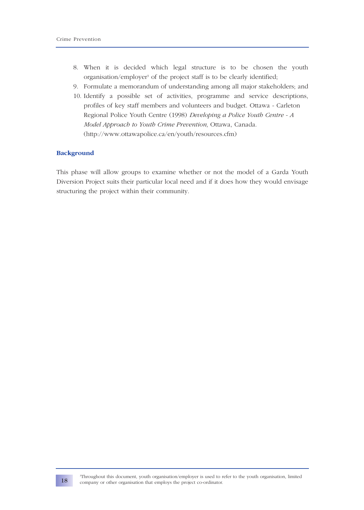- 8. When it is decided which legal structure is to be chosen the youth organisation/employer<sup>3</sup> of the project staff is to be clearly identified;
- 9. Formulate a memorandum of understanding among all major stakeholders; and
- 10. Identify a possible set of activities, programme and service descriptions, profiles of key staff members and volunteers and budget. Ottawa - Carleton Regional Police Youth Centre (1998) *Developing a Police Youth Centre - A Model Approach to Youth Crime Prevention,* Ottawa, Canada. (http://www.ottawapolice.ca/en/youth/resources.cfm)

### **Background**

This phase will allow groups to examine whether or not the model of a Garda Youth Diversion Project suits their particular local need and if it does how they would envisage structuring the project within their community.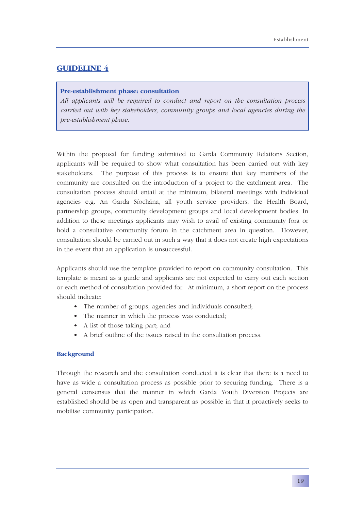#### **Pre-establishment phase: consultation**

*All applicants will be required to conduct and report on the consultation process carried out with key stakeholders, community groups and local agencies during the pre-establishment phase.* 

Within the proposal for funding submitted to Garda Community Relations Section, applicants will be required to show what consultation has been carried out with key stakeholders. The purpose of this process is to ensure that key members of the community are consulted on the introduction of a project to the catchment area. The consultation process should entail at the minimum, bilateral meetings with individual agencies e.g. An Garda Síochána, all youth service providers, the Health Board, partnership groups, community development groups and local development bodies. In addition to these meetings applicants may wish to avail of existing community fora or hold a consultative community forum in the catchment area in question. However, consultation should be carried out in such a way that it does not create high expectations in the event that an application is unsuccessful.

Applicants should use the template provided to report on community consultation. This template is meant as a guide and applicants are not expected to carry out each section or each method of consultation provided for. At minimum, a short report on the process should indicate:

- The number of groups, agencies and individuals consulted;
- The manner in which the process was conducted;
- A list of those taking part; and
- A brief outline of the issues raised in the consultation process.

### **Background**

Through the research and the consultation conducted it is clear that there is a need to have as wide a consultation process as possible prior to securing funding. There is a general consensus that the manner in which Garda Youth Diversion Projects are established should be as open and transparent as possible in that it proactively seeks to mobilise community participation.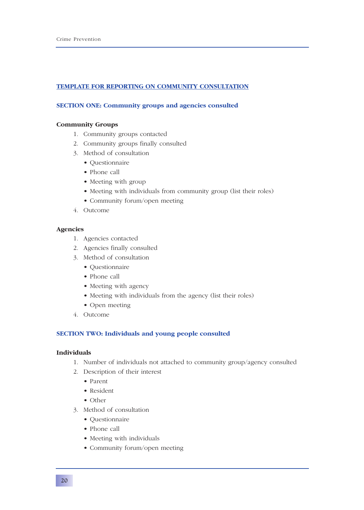### **TEMPLATE FOR REPORTING ON COMMUNITY CONSULTATION**

### **SECTION ONE: Community groups and agencies consulted**

### **Community Groups**

- 1. Community groups contacted
- 2. Community groups finally consulted
- 3. Method of consultation
	- Questionnaire
	- Phone call
	- Meeting with group
	- Meeting with individuals from community group (list their roles)
	- Community forum/open meeting
- 4. Outcome

### **Agencies**

- 1. Agencies contacted
- 2. Agencies finally consulted
- 3. Method of consultation
	- Questionnaire
	- Phone call
	- Meeting with agency
	- Meeting with individuals from the agency (list their roles)
	- Open meeting
- 4. Outcome

### **SECTION TWO: Individuals and young people consulted**

### **Individuals**

- 1. Number of individuals not attached to community group/agency consulted
- 2. Description of their interest
	- Parent
	- Resident
	- Other
- 3. Method of consultation
	- Questionnaire
	- Phone call
	- Meeting with individuals
	- Community forum/open meeting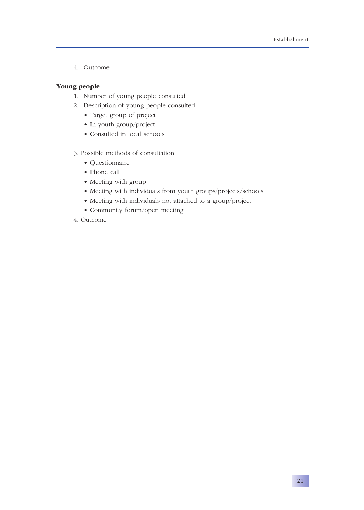4. Outcome

### **Young people**

- 1. Number of young people consulted
- 2. Description of young people consulted
	- Target group of project
	- In youth group/project
	- Consulted in local schools
- 3. Possible methods of consultation
	- Questionnaire
	- Phone call
	- Meeting with group
	- Meeting with individuals from youth groups/projects/schools
	- Meeting with individuals not attached to a group/project
	- Community forum/open meeting
- 4. Outcome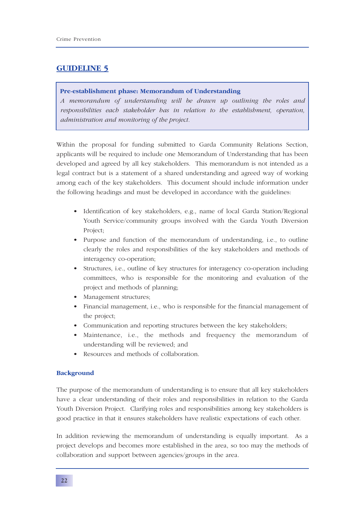#### **Pre-establishment phase: Memorandum of Understanding**

*A memorandum of understanding will be drawn up outlining the roles and responsibilities each stakeholder has in relation to the establishment, operation, administration and monitoring of the project.*

Within the proposal for funding submitted to Garda Community Relations Section, applicants will be required to include one Memorandum of Understanding that has been developed and agreed by all key stakeholders. This memorandum is not intended as a legal contract but is a statement of a shared understanding and agreed way of working among each of the key stakeholders. This document should include information under the following headings and must be developed in accordance with the guidelines:

- Identification of key stakeholders, e.g., name of local Garda Station/Regional Youth Service/community groups involved with the Garda Youth Diversion Project;
- Purpose and function of the memorandum of understanding, i.e., to outline clearly the roles and responsibilities of the key stakeholders and methods of interagency co-operation;
- Structures, i.e., outline of key structures for interagency co-operation including committees, who is responsible for the monitoring and evaluation of the project and methods of planning;
- Management structures;
- Financial management, i.e., who is responsible for the financial management of the project;
- Communication and reporting structures between the key stakeholders;
- Maintenance, i.e., the methods and frequency the memorandum of understanding will be reviewed; and
- Resources and methods of collaboration.

### **Background**

The purpose of the memorandum of understanding is to ensure that all key stakeholders have a clear understanding of their roles and responsibilities in relation to the Garda Youth Diversion Project. Clarifying roles and responsibilities among key stakeholders is good practice in that it ensures stakeholders have realistic expectations of each other.

In addition reviewing the memorandum of understanding is equally important. As a project develops and becomes more established in the area, so too may the methods of collaboration and support between agencies/groups in the area.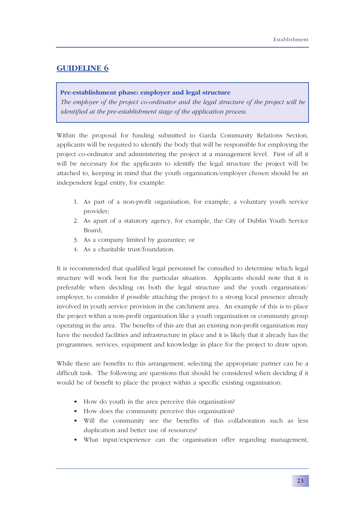### **Pre-establishment phase: employer and legal structure**

*The employer of the project co-ordinator and the legal structure of the project will be identified at the pre-establishment stage of the application process.*

Within the proposal for funding submitted to Garda Community Relations Section, applicants will be required to identify the body that will be responsible for employing the project co-ordinator and administering the project at a management level. First of all it will be necessary for the applicants to identify the legal structure the project will be attached to, keeping in mind that the youth organisation/employer chosen should be an independent legal entity, for example:

- 1. As part of a non-profit organisation, for example, a voluntary youth service provider;
- 2. As apart of a statutory agency, for example, the City of Dublin Youth Service Board;
- 3. As a company limited by guarantee; or
- 4. As a charitable trust/foundation.

It is recommended that qualified legal personnel be consulted to determine which legal structure will work best for the particular situation. Applicants should note that it is preferable when deciding on both the legal structure and the youth organisation/ employer, to consider if possible attaching the project to a strong local presence already involved in youth service provision in the catchment area. An example of this is to place the project within a non-profit organisation like a youth organisation or community group operating in the area. The benefits of this are that an existing non-profit organisation may have the needed facilities and infrastructure in place and it is likely that it already has the programmes, services, equipment and knowledge in place for the project to draw upon.

While there are benefits to this arrangement, selecting the appropriate partner can be a difficult task. The following are questions that should be considered when deciding if it would be of benefit to place the project within a specific existing organisation:

- How do youth in the area perceive this organisation?
- How does the community perceive this organisation?
- Will the community see the benefits of this collaboration such as less duplication and better use of resources?
- What input/experience can the organisation offer regarding management,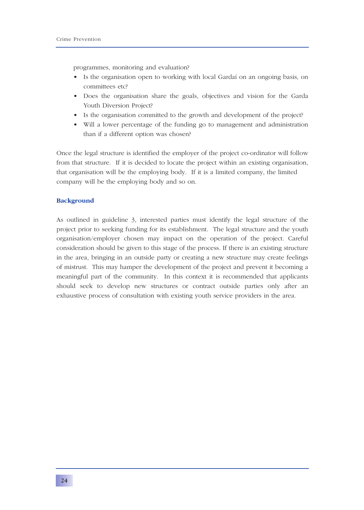programmes, monitoring and evaluation?

- Is the organisation open to working with local Gardaí on an ongoing basis, on committees etc?
- Does the organisation share the goals, objectives and vision for the Garda Youth Diversion Project?
- Is the organisation committed to the growth and development of the project?
- Will a lower percentage of the funding go to management and administration than if a different option was chosen?

Once the legal structure is identified the employer of the project co-ordinator will follow from that structure. If it is decided to locate the project within an existing organisation, that organisation will be the employing body. If it is a limited company, the limited company will be the employing body and so on.

#### **Background**

As outlined in guideline 3, interested parties must identify the legal structure of the project prior to seeking funding for its establishment. The legal structure and the youth organisation/employer chosen may impact on the operation of the project. Careful consideration should be given to this stage of the process. If there is an existing structure in the area, bringing in an outside party or creating a new structure may create feelings of mistrust. This may hamper the development of the project and prevent it becoming a meaningful part of the community. In this context it is recommended that applicants should seek to develop new structures or contract outside parties only after an exhaustive process of consultation with existing youth service providers in the area.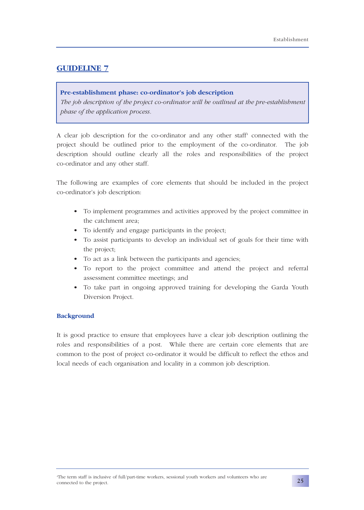### **Pre-establishment phase: co-ordinator's job description**

*The job description of the project co-ordinator will be outlined at the pre-establishment phase of the application process.*

A clear job description for the co-ordinator and any other staff<sup>4</sup> connected with the project should be outlined prior to the employment of the co-ordinator. The job description should outline clearly all the roles and responsibilities of the project co-ordinator and any other staff.

The following are examples of core elements that should be included in the project co-ordinator's job description:

- To implement programmes and activities approved by the project committee in the catchment area;
- To identify and engage participants in the project;
- To assist participants to develop an individual set of goals for their time with the project;
- To act as a link between the participants and agencies;
- To report to the project committee and attend the project and referral assessment committee meetings; and
- To take part in ongoing approved training for developing the Garda Youth Diversion Project.

### **Background**

It is good practice to ensure that employees have a clear job description outlining the roles and responsibilities of a post. While there are certain core elements that are common to the post of project co-ordinator it would be difficult to reflect the ethos and local needs of each organisation and locality in a common job description.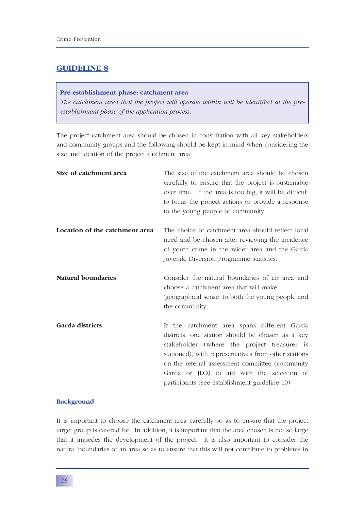#### **Pre-establishment phase: catchment area**

*The catchment area that the project will operate within will be identified at the preestablishment phase of the application process.*

The project catchment area should be chosen in consultation with all key stakeholders and community groups and the following should be kept in mind when considering the size and location of the project catchment area.

| Size of catchment area         | The size of the catchment area should be chosen<br>carefully to ensure that the project is sustainable<br>over time. If the area is too big, it will be difficult<br>to focus the project actions or provide a response<br>to the young people or community.                                                                                              |
|--------------------------------|-----------------------------------------------------------------------------------------------------------------------------------------------------------------------------------------------------------------------------------------------------------------------------------------------------------------------------------------------------------|
| Location of the catchment area | The choice of catchment area should reflect local<br>need and be chosen after reviewing the incidence<br>of youth crime in the wider area and the Garda<br>Juvenile Diversion Programme statistics.                                                                                                                                                       |
| <b>Natural boundaries</b>      | Consider the natural boundaries of an area and<br>choose a catchment area that will make<br>'geographical sense' to both the young people and<br>the community.                                                                                                                                                                                           |
| Garda districts                | If the catchment area spans different Garda<br>districts, one station should be chosen as a key<br>stakeholder (where the project treasurer is<br>stationed), with representatives from other stations<br>on the referral assessment committee (community)<br>Garda or JLO) to aid with the selection of<br>participants (see establishment guideline 10) |

### **Background**

It is important to choose the catchment area carefully so as to ensure that the project target group is catered for. In addition, it is important that the area chosen is not so large that it impedes the development of the project. It is also important to consider the natural boundaries of an area so as to ensure that this will not contribute to problems in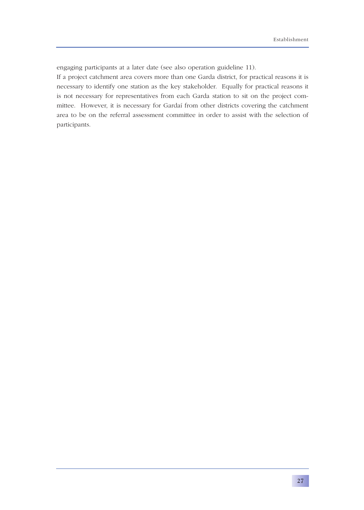engaging participants at a later date (see also operation guideline 11).

If a project catchment area covers more than one Garda district, for practical reasons it is necessary to identify one station as the key stakeholder. Equally for practical reasons it is not necessary for representatives from each Garda station to sit on the project committee. However, it is necessary for Gardaí from other districts covering the catchment area to be on the referral assessment committee in order to assist with the selection of participants.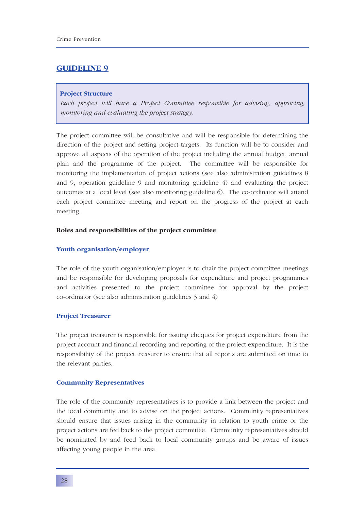#### **Project Structure**

*Each project will have a Project Committee responsible for advising, approving, monitoring and evaluating the project strategy.*

The project committee will be consultative and will be responsible for determining the direction of the project and setting project targets. Its function will be to consider and approve all aspects of the operation of the project including the annual budget, annual plan and the programme of the project. The committee will be responsible for monitoring the implementation of project actions (see also administration guidelines 8 and 9, operation guideline 9 and monitoring guideline 4) and evaluating the project outcomes at a local level (see also monitoring guideline 6). The co-ordinator will attend each project committee meeting and report on the progress of the project at each meeting.

### **Roles and responsibilities of the project committee**

#### **Youth organisation/employer**

The role of the youth organisation/employer is to chair the project committee meetings and be responsible for developing proposals for expenditure and project programmes and activities presented to the project committee for approval by the project co-ordinator (see also administration guidelines 3 and 4)

#### **Project Treasurer**

The project treasurer is responsible for issuing cheques for project expenditure from the project account and financial recording and reporting of the project expenditure. It is the responsibility of the project treasurer to ensure that all reports are submitted on time to the relevant parties.

#### **Community Representatives**

The role of the community representatives is to provide a link between the project and the local community and to advise on the project actions. Community representatives should ensure that issues arising in the community in relation to youth crime or the project actions are fed back to the project committee. Community representatives should be nominated by and feed back to local community groups and be aware of issues affecting young people in the area.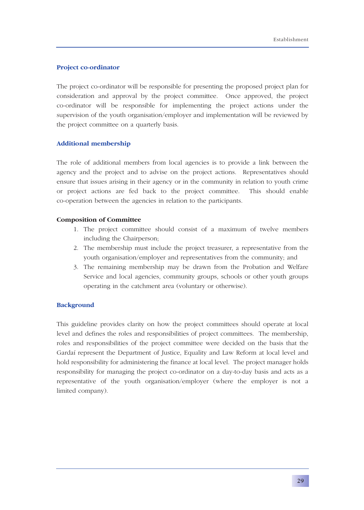### **Project co-ordinator**

The project co-ordinator will be responsible for presenting the proposed project plan for consideration and approval by the project committee. Once approved, the project co-ordinator will be responsible for implementing the project actions under the supervision of the youth organisation/employer and implementation will be reviewed by the project committee on a quarterly basis.

### **Additional membership**

The role of additional members from local agencies is to provide a link between the agency and the project and to advise on the project actions. Representatives should ensure that issues arising in their agency or in the community in relation to youth crime or project actions are fed back to the project committee. This should enable co-operation between the agencies in relation to the participants.

### **Composition of Committee**

- 1. The project committee should consist of a maximum of twelve members including the Chairperson;
- 2. The membership must include the project treasurer, a representative from the youth organisation/employer and representatives from the community; and
- 3. The remaining membership may be drawn from the Probation and Welfare Service and local agencies, community groups, schools or other youth groups operating in the catchment area (voluntary or otherwise).

### **Background**

This guideline provides clarity on how the project committees should operate at local level and defines the roles and responsibilities of project committees. The membership, roles and responsibilities of the project committee were decided on the basis that the Gardaí represent the Department of Justice, Equality and Law Reform at local level and hold responsibility for administering the finance at local level. The project manager holds responsibility for managing the project co-ordinator on a day-to-day basis and acts as a representative of the youth organisation/employer (where the employer is not a limited company).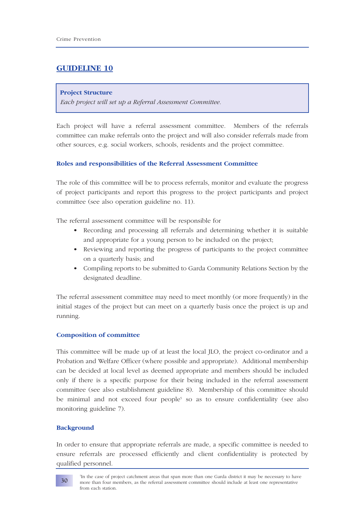#### **Project Structure**

*Each project will set up a Referral Assessment Committee.* 

Each project will have a referral assessment committee. Members of the referrals committee can make referrals onto the project and will also consider referrals made from other sources, e.g. social workers, schools, residents and the project committee.

## **Roles and responsibilities of the Referral Assessment Committee**

The role of this committee will be to process referrals, monitor and evaluate the progress of project participants and report this progress to the project participants and project committee (see also operation guideline no. 11).

The referral assessment committee will be responsible for

- Recording and processing all referrals and determining whether it is suitable and appropriate for a young person to be included on the project;
- Reviewing and reporting the progress of participants to the project committee on a quarterly basis; and
- Compiling reports to be submitted to Garda Community Relations Section by the designated deadline.

The referral assessment committee may need to meet monthly (or more frequently) in the initial stages of the project but can meet on a quarterly basis once the project is up and running.

## **Composition of committee**

This committee will be made up of at least the local JLO, the project co-ordinator and a Probation and Welfare Officer (where possible and appropriate). Additional membership can be decided at local level as deemed appropriate and members should be included only if there is a specific purpose for their being included in the referral assessment committee (see also establishment guideline 8). Membership of this committee should be minimal and not exceed four people<sup>5</sup> so as to ensure confidentiality (see also monitoring guideline 7).

#### **Background**

In order to ensure that appropriate referrals are made, a specific committee is needed to ensure referrals are processed efficiently and client confidentiality is protected by qualified personnel.

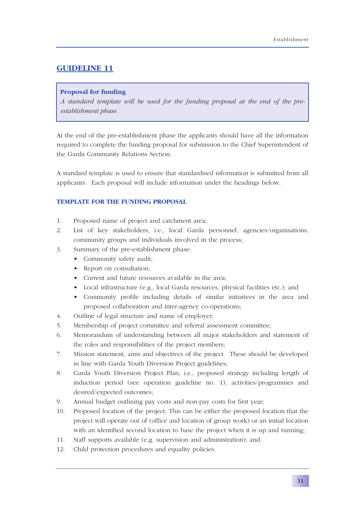## **Proposal for funding**

*A standard template will be used for the funding proposal at the end of the preestablishment phase.*

At the end of the pre-establishment phase the applicants should have all the information required to complete the funding proposal for submission to the Chief Superintendent of the Garda Community Relations Section.

A standard template is used to ensure that standardised information is submitted from all applicants. Each proposal will include information under the headings below:

## **TEMPLATE FOR THE FUNDING PROPOSAL**

- 1. Proposed name of project and catchment area;
- 2. List of key stakeholders, i.e., local Garda personnel, agencies/organisations, community groups and individuals involved in the process;
- 3. Summary of the pre-establishment phase:
	- Community safety audit;
	- Report on consultation;
	- Current and future resources available in the area;
	- Local infrastructure (e.g., local Garda resources, physical facilities etc.); and
	- Community profile including details of similar initiatives in the area and proposed collaboration and inter-agency co-operations;
- 4. Outline of legal structure and name of employer;
- 5. Membership of project committee and referral assessment committee;
- 6. Memorandum of understanding between all major stakeholders and statement of the roles and responsibilities of the project members;
- 7. Mission statement, aims and objectives of the project. These should be developed in line with Garda Youth Diversion Project guidelines;
- 8. Garda Youth Diversion Project Plan, i.e., proposed strategy including length of induction period (see operation guideline no. 1), activities/programmes and desired/expected outcomes;
- 9. Annual budget outlining pay costs and non-pay costs for first year;
- 10. Proposed location of the project: This can be either the proposed location that the project will operate out of (office and location of group work) or an initial location with an identified second location to base the project when it is up and running;
- 11. Staff supports available (e.g. supervision and administration); and
- 12. Child protection procedures and equality policies.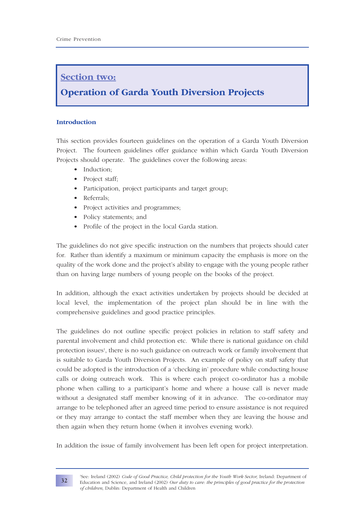# **Section two:**

# **Operation of Garda Youth Diversion Projects**

## **Introduction**

This section provides fourteen guidelines on the operation of a Garda Youth Diversion Project. The fourteen guidelines offer guidance within which Garda Youth Diversion Projects should operate. The guidelines cover the following areas:

- Induction;
- Project staff;
- Participation, project participants and target group;
- Referrals;
- Project activities and programmes;
- Policy statements; and
- Profile of the project in the local Garda station.

The guidelines do not give specific instruction on the numbers that projects should cater for. Rather than identify a maximum or minimum capacity the emphasis is more on the quality of the work done and the project's ability to engage with the young people rather than on having large numbers of young people on the books of the project.

In addition, although the exact activities undertaken by projects should be decided at local level, the implementation of the project plan should be in line with the comprehensive guidelines and good practice principles.

The guidelines do not outline specific project policies in relation to staff safety and parental involvement and child protection etc. While there is national guidance on child protection issues<sup>1</sup>, there is no such guidance on outreach work or family involvement that is suitable to Garda Youth Diversion Projects. An example of policy on staff safety that could be adopted is the introduction of a 'checking in' procedure while conducting house calls or doing outreach work. This is where each project co-ordinator has a mobile phone when calling to a participant's home and where a house call is never made without a designated staff member knowing of it in advance. The co-ordinator may arrange to be telephoned after an agreed time period to ensure assistance is not required or they may arrange to contact the staff member when they are leaving the house and then again when they return home (when it involves evening work).

In addition the issue of family involvement has been left open for project interpretation.



**32**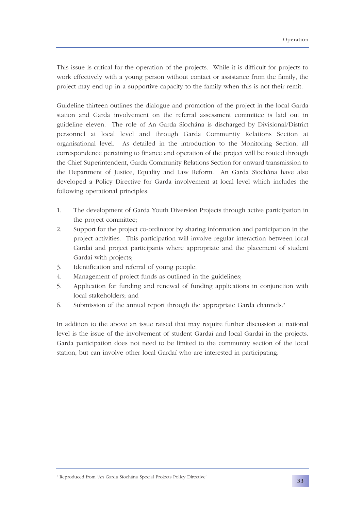This issue is critical for the operation of the projects. While it is difficult for projects to work effectively with a young person without contact or assistance from the family, the project may end up in a supportive capacity to the family when this is not their remit.

Guideline thirteen outlines the dialogue and promotion of the project in the local Garda station and Garda involvement on the referral assessment committee is laid out in guideline eleven. The role of An Garda Síochána is discharged by Divisional/District personnel at local level and through Garda Community Relations Section at organisational level. As detailed in the introduction to the Monitoring Section, all correspondence pertaining to finance and operation of the project will be routed through the Chief Superintendent, Garda Community Relations Section for onward transmission to the Department of Justice, Equality and Law Reform. An Garda Síochána have also developed a Policy Directive for Garda involvement at local level which includes the following operational principles:

- 1. The development of Garda Youth Diversion Projects through active participation in the project committee;
- 2. Support for the project co-ordinator by sharing information and participation in the project activities. This participation will involve regular interaction between local Gardaí and project participants where appropriate and the placement of student Gardaí with projects;
- 3. Identification and referral of young people;
- 4. Management of project funds as outlined in the guidelines;
- 5. Application for funding and renewal of funding applications in conjunction with local stakeholders; and
- 6. Submission of the annual report through the appropriate Garda channels.2

In addition to the above an issue raised that may require further discussion at national level is the issue of the involvement of student Gardaí and local Gardaí in the projects. Garda participation does not need to be limited to the community section of the local station, but can involve other local Gardaí who are interested in participating.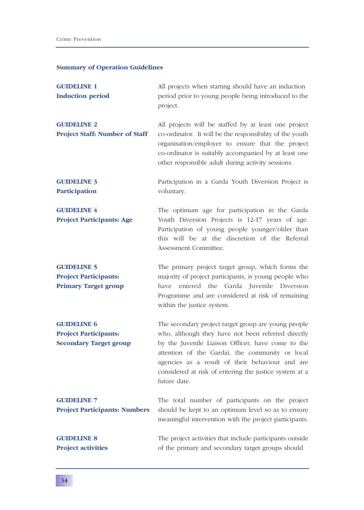#### **Summary of Operation Guidelines**

- **GUIDELINE 1** All projects when starting should have an induction **Induction period** period prior to young people being introduced to the project. **GUIDELINE 2** All projects will be staffed by at least one project
- **Project Staff: Number of Staff** co-ordinator. It will be the responsibility of the youth organisation/employer to ensure that the project co-ordinator is suitably accompanied by at least one other responsible adult during activity sessions.
- **GUIDELINE 3** Participation in a Garda Youth Diversion Project is **Participation** voluntary.
- **GUIDELINE 4** The optimum age for participation in the Garda **Project Participants: Age** Youth Diversion Projects is 12-17 years of age. Participation of young people younger/older than this will be at the discretion of the Referral Assessment Committee.
- **GUIDELINE 5** The primary project target group, which forms the **Project Participants:** majority of project participants, is young people who **Primary Target group** have entered the Garda Juvenile Diversion Programme and are considered at risk of remaining within the justice system.
- **GUIDELINE 6** The secondary project target group are young people **Project Participants:** who, although they have not been referred directly **Secondary Target group** by the Juvenile Liaison Officer, have come to the attention of the Gardaí, the community or local agencies as a result of their behaviour and are considered at risk of entering the justice system at a future date.

**GUIDELINE 7** The total number of participants on the project **Project Participants: Numbers** should be kept to an optimum level so as to ensure

meaningful intervention with the project participants.

**GUIDELINE 8** The project activities that include participants outside **Project activities** of the primary and secondary target groups should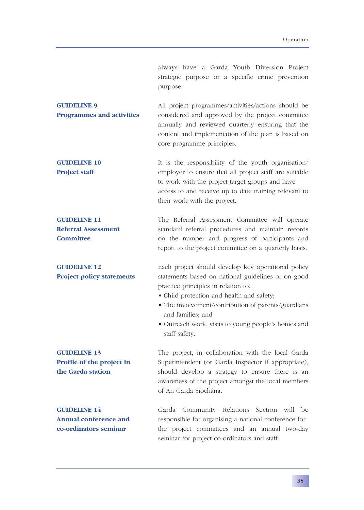always have a Garda Youth Diversion Project strategic purpose or a specific crime prevention purpose.

| <b>GUIDELINE 9</b>               | All project programmes/activities/actions should be |
|----------------------------------|-----------------------------------------------------|
| <b>Programmes and activities</b> | considered and approved by the project committee    |
|                                  | annually and reviewed quarterly ensuring that the   |
|                                  | content and implementation of the plan is based on  |
|                                  | core programme principles.                          |

**GUIDELINE 10** It is the responsibility of the youth organisation/ **Project staff** employer to ensure that all project staff are suitable to work with the project target groups and have access to and receive up to date training relevant to their work with the project.

**GUIDELINE 11** The Referral Assessment Committee will operate **Referral Assessment** standard referral procedures and maintain records **Committee** on the number and progress of participants and report to the project committee on a quarterly basis.

**GUIDELINE 12** Each project should develop key operational policy **Project policy statements** statements based on national guidelines or on good practice principles in relation to:

- Child protection and health and safety;
- The involvement/contribution of parents/guardians and families; and
- Outreach work, visits to young people's homes and staff safety.

**GUIDELINE 13** The project, in collaboration with the local Garda **Profile of the project in** Superintendent (or Garda Inspector if appropriate), **the Garda station** should develop a strategy to ensure there is an awareness of the project amongst the local members of An Garda Síochána.

**GUIDELINE 14 Garda** Community Relations Section will be **Annual conference and** responsible for organising a national conference for **co-ordinators seminar** the project committees and an annual two-day seminar for project co-ordinators and staff.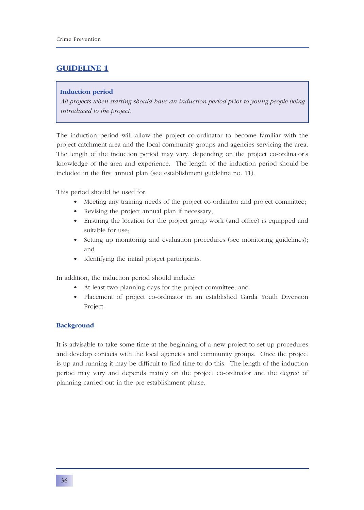## **Induction period**

*All projects when starting should have an induction period prior to young people being introduced to the project.*

The induction period will allow the project co-ordinator to become familiar with the project catchment area and the local community groups and agencies servicing the area. The length of the induction period may vary, depending on the project co-ordinator's knowledge of the area and experience. The length of the induction period should be included in the first annual plan (see establishment guideline no. 11).

This period should be used for:

- Meeting any training needs of the project co-ordinator and project committee;
- Revising the project annual plan if necessary;
- Ensuring the location for the project group work (and office) is equipped and suitable for use;
- Setting up monitoring and evaluation procedures (see monitoring guidelines); and
- Identifying the initial project participants.

In addition, the induction period should include:

- At least two planning days for the project committee; and
- Placement of project co-ordinator in an established Garda Youth Diversion Project.

## **Background**

It is advisable to take some time at the beginning of a new project to set up procedures and develop contacts with the local agencies and community groups. Once the project is up and running it may be difficult to find time to do this. The length of the induction period may vary and depends mainly on the project co-ordinator and the degree of planning carried out in the pre-establishment phase.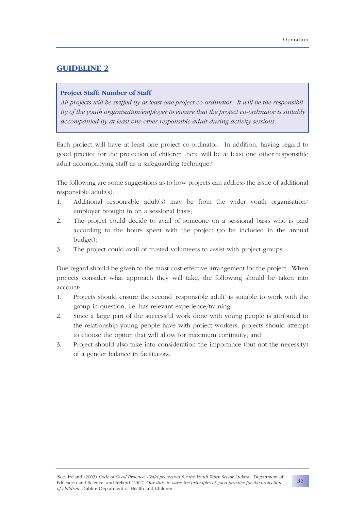## **Project Staff: Number of Staff**

*All projects will be staffed by at least one project co-ordinator. It will be the responsibility of the youth organisation/employer to ensure that the project co-ordinator is suitably accompanied by at least one other responsible adult during activity sessions.*

Each project will have at least one project co-ordinator. In addition, having regard to good practice for the protection of children there will be at least one other responsible adult accompanying staff as a safeguarding technique.<sup>3</sup>

The following are some suggestions as to how projects can address the issue of additional responsible adult(s):

- 1. Additional responsible adult(s) may be from the wider youth organisation/ employer brought in on a sessional basis;
- 2. The project could decide to avail of someone on a sessional basis who is paid according to the hours spent with the project (to be included in the annual budget);
- 3. The project could avail of trusted volunteers to assist with project groups.

Due regard should be given to the most cost-effective arrangement for the project. When projects consider what approach they will take, the following should be taken into account:

- 1. Projects should ensure the second 'responsible adult' is suitable to work with the group in question, i.e. has relevant experience/training;
- 2. Since a large part of the successful work done with young people is attributed to the relationship young people have with project workers, projects should attempt to choose the option that will allow for maximum continuity; and
- 3. Project should also take into consideration the importance (but not the necessity) of a gender balance in facilitators.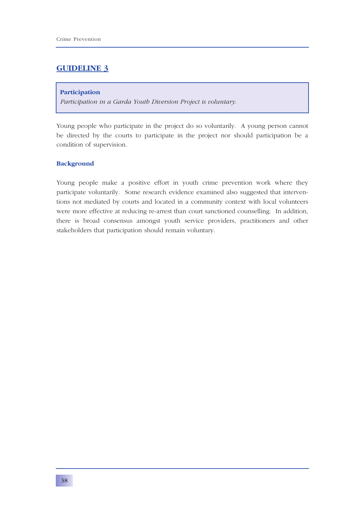#### **Participation**

*Participation in a Garda Youth Diversion Project is voluntary.*

Young people who participate in the project do so voluntarily. A young person cannot be directed by the courts to participate in the project nor should participation be a condition of supervision.

## **Background**

Young people make a positive effort in youth crime prevention work where they participate voluntarily. Some research evidence examined also suggested that interventions not mediated by courts and located in a community context with local volunteers were more effective at reducing re-arrest than court sanctioned counselling. In addition, there is broad consensus amongst youth service providers, practitioners and other stakeholders that participation should remain voluntary.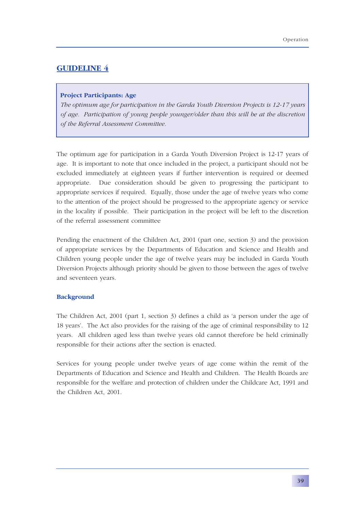## **Project Participants: Age**

*The optimum age for participation in the Garda Youth Diversion Projects is 12-17 years of age. Participation of young people younger/older than this will be at the discretion of the Referral Assessment Committee.*

The optimum age for participation in a Garda Youth Diversion Project is 12-17 years of age. It is important to note that once included in the project, a participant should not be excluded immediately at eighteen years if further intervention is required or deemed appropriate. Due consideration should be given to progressing the participant to appropriate services if required. Equally, those under the age of twelve years who come to the attention of the project should be progressed to the appropriate agency or service in the locality if possible. Their participation in the project will be left to the discretion of the referral assessment committee

Pending the enactment of the Children Act, 2001 (part one, section 3) and the provision of appropriate services by the Departments of Education and Science and Health and Children young people under the age of twelve years may be included in Garda Youth Diversion Projects although priority should be given to those between the ages of twelve and seventeen years.

## **Background**

The Children Act, 2001 (part 1, section 3) defines a child as 'a person under the age of 18 years'. The Act also provides for the raising of the age of criminal responsibility to 12 years. All children aged less than twelve years old cannot therefore be held criminally responsible for their actions after the section is enacted.

Services for young people under twelve years of age come within the remit of the Departments of Education and Science and Health and Children. The Health Boards are responsible for the welfare and protection of children under the Childcare Act, 1991 and the Children Act, 2001.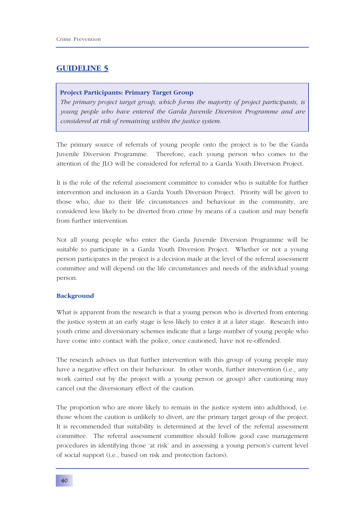## **Project Participants: Primary Target Group**

*The primary project target group, which forms the majority of project participants, is young people who have entered the Garda Juvenile Diversion Programme and are considered at risk of remaining within the justice system.*

The primary source of referrals of young people onto the project is to be the Garda Juvenile Diversion Programme. Therefore, each young person who comes to the attention of the JLO will be considered for referral to a Garda Youth Diversion Project.

It is the role of the referral assessment committee to consider who is suitable for further intervention and inclusion in a Garda Youth Diversion Project. Priority will be given to those who, due to their life circumstances and behaviour in the community, are considered less likely to be diverted from crime by means of a caution and may benefit from further intervention.

Not all young people who enter the Garda Juvenile Diversion Programme will be suitable to participate in a Garda Youth Diversion Project. Whether or not a young person participates in the project is a decision made at the level of the referral assessment committee and will depend on the life circumstances and needs of the individual young person.

## **Background**

What is apparent from the research is that a young person who is diverted from entering the justice system at an early stage is less likely to enter it at a later stage. Research into youth crime and diversionary schemes indicate that a large number of young people who have come into contact with the police, once cautioned, have not re-offended.

The research advises us that further intervention with this group of young people may have a negative effect on their behaviour. In other words, further intervention (i.e., any work carried out by the project with a young person or group) after cautioning may cancel out the diversionary effect of the caution.

The proportion who are more likely to remain in the justice system into adulthood, i.e. those whom the caution is unlikely to divert, are the primary target group of the project. It is recommended that suitability is determined at the level of the referral assessment committee. The referral assessment committee should follow good case management procedures in identifying those 'at risk' and in assessing a young person's current level of social support (i.e., based on risk and protection factors).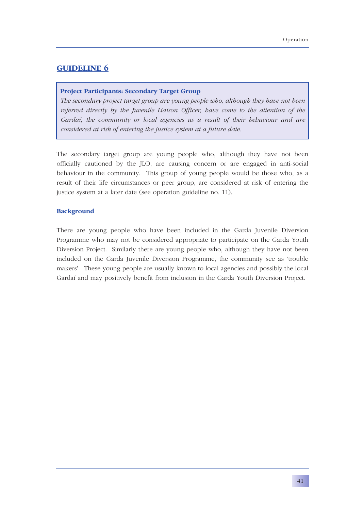## **Project Participants: Secondary Target Group**

*The secondary project target group are young people who, although they have not been referred directly by the Juvenile Liaison Officer, have come to the attention of the Gardaí, the community or local agencies as a result of their behaviour and are considered at risk of entering the justice system at a future date.*

The secondary target group are young people who, although they have not been officially cautioned by the JLO, are causing concern or are engaged in anti-social behaviour in the community. This group of young people would be those who, as a result of their life circumstances or peer group, are considered at risk of entering the justice system at a later date (see operation guideline no. 11).

## **Background**

There are young people who have been included in the Garda Juvenile Diversion Programme who may not be considered appropriate to participate on the Garda Youth Diversion Project. Similarly there are young people who, although they have not been included on the Garda Juvenile Diversion Programme, the community see as 'trouble makers'. These young people are usually known to local agencies and possibly the local Gardaí and may positively benefit from inclusion in the Garda Youth Diversion Project.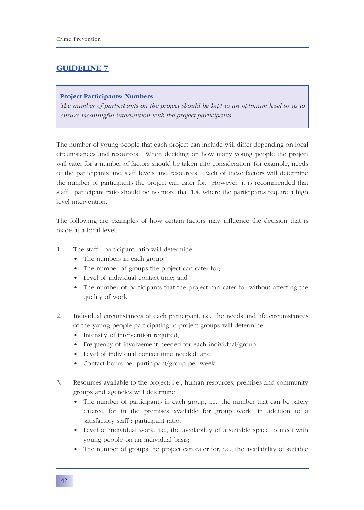## **Project Participants: Numbers**

*The number of participants on the project should be kept to an optimum level so as to ensure meaningful intervention with the project participants.*

The number of young people that each project can include will differ depending on local circumstances and resources. When deciding on how many young people the project will cater for a number of factors should be taken into consideration, for example, needs of the participants and staff levels and resources. Each of these factors will determine the number of participants the project can cater for. However, it is recommended that staff : participant ratio should be no more that 1:4, where the participants require a high level intervention.

The following are examples of how certain factors may influence the decision that is made at a local level.

- 1. The staff : participant ratio will determine:
	- The numbers in each group;
	- The number of groups the project can cater for;
	- Level of individual contact time; and
	- The number of participants that the project can cater for without affecting the quality of work.
- 2. Individual circumstances of each participant, i.e., the needs and life circumstances of the young people participating in project groups will determine:
	- Intensity of intervention required;
	- Frequency of involvement needed for each individual/group;
	- Level of individual contact time needed; and
	- Contact hours per participant/group per week.
- 3. Resources available to the project; i.e., human resources, premises and community groups and agencies will determine:
	- The number of participants in each group, i.e., the number that can be safely catered for in the premises available for group work, in addition to a satisfactory staff : participant ratio;
	- Level of individual work, i.e., the availability of a suitable space to meet with young people on an individual basis;
	- The number of groups the project can cater for; i.e., the availability of suitable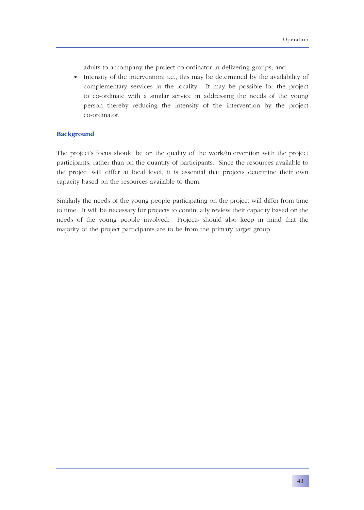adults to accompany the project co-ordinator in delivering groups; and

• Intensity of the intervention; i.e., this may be determined by the availability of complementary services in the locality. It may be possible for the project to co-ordinate with a similar service in addressing the needs of the young person thereby reducing the intensity of the intervention by the project co-ordinator.

## **Background**

The project's focus should be on the quality of the work/intervention with the project participants, rather than on the quantity of participants. Since the resources available to the project will differ at local level, it is essential that projects determine their own capacity based on the resources available to them.

Similarly the needs of the young people participating on the project will differ from time to time. It will be necessary for projects to continually review their capacity based on the needs of the young people involved. Projects should also keep in mind that the majority of the project participants are to be from the primary target group.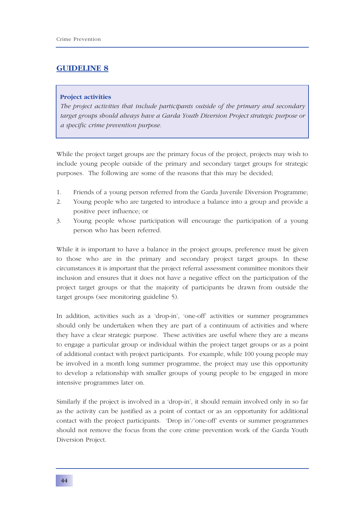#### **Project activities**

*The project activities that include participants outside of the primary and secondary target groups should always have a Garda Youth Diversion Project strategic purpose or a specific crime prevention purpose.*

While the project target groups are the primary focus of the project, projects may wish to include young people outside of the primary and secondary target groups for strategic purposes. The following are some of the reasons that this may be decided;

- 1. Friends of a young person referred from the Garda Juvenile Diversion Programme;
- 2. Young people who are targeted to introduce a balance into a group and provide a positive peer influence; or
- 3. Young people whose participation will encourage the participation of a young person who has been referred.

While it is important to have a balance in the project groups, preference must be given to those who are in the primary and secondary project target groups. In these circumstances it is important that the project referral assessment committee monitors their inclusion and ensures that it does not have a negative effect on the participation of the project target groups or that the majority of participants be drawn from outside the target groups (see monitoring guideline 5).

In addition, activities such as a 'drop-in', 'one-off' activities or summer programmes should only be undertaken when they are part of a continuum of activities and where they have a clear strategic purpose. These activities are useful where they are a means to engage a particular group or individual within the project target groups or as a point of additional contact with project participants. For example, while 100 young people may be involved in a month long summer programme, the project may use this opportunity to develop a relationship with smaller groups of young people to be engaged in more intensive programmes later on.

Similarly if the project is involved in a 'drop-in', it should remain involved only in so far as the activity can be justified as a point of contact or as an opportunity for additional contact with the project participants. 'Drop in'/'one-off' events or summer programmes should not remove the focus from the core crime prevention work of the Garda Youth Diversion Project.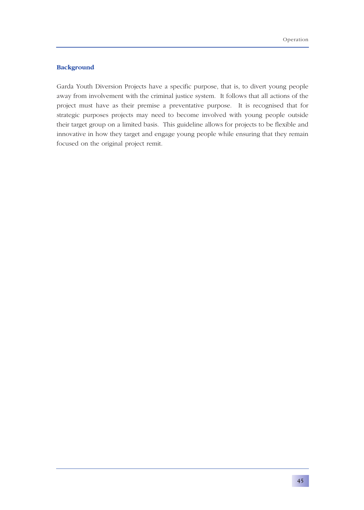## **Background**

Garda Youth Diversion Projects have a specific purpose, that is, to divert young people away from involvement with the criminal justice system. It follows that all actions of the project must have as their premise a preventative purpose. It is recognised that for strategic purposes projects may need to become involved with young people outside their target group on a limited basis. This guideline allows for projects to be flexible and innovative in how they target and engage young people while ensuring that they remain focused on the original project remit.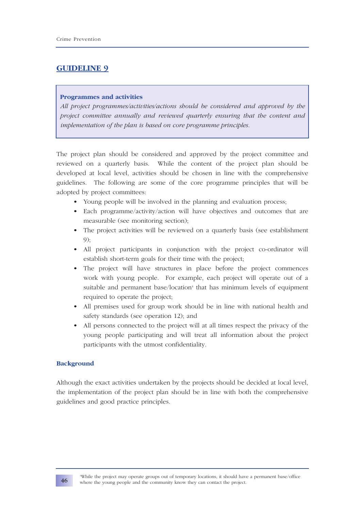## **Programmes and activities**

*All project programmes/activities/actions should be considered and approved by the project committee annually and reviewed quarterly ensuring that the content and implementation of the plan is based on core programme principles.*

The project plan should be considered and approved by the project committee and reviewed on a quarterly basis. While the content of the project plan should be developed at local level, activities should be chosen in line with the comprehensive guidelines. The following are some of the core programme principles that will be adopted by project committees:

- Young people will be involved in the planning and evaluation process;
- Each programme/activity/action will have objectives and outcomes that are measurable (see monitoring section);
- The project activities will be reviewed on a quarterly basis (see establishment 9);
- All project participants in conjunction with the project co-ordinator will establish short-term goals for their time with the project;
- The project will have structures in place before the project commences work with young people. For example, each project will operate out of a suitable and permanent base/location<sup>4</sup> that has minimum levels of equipment required to operate the project;
- All premises used for group work should be in line with national health and safety standards (see operation 12); and
- All persons connected to the project will at all times respect the privacy of the young people participating and will treat all information about the project participants with the utmost confidentiality.

## **Background**

Although the exact activities undertaken by the projects should be decided at local level, the implementation of the project plan should be in line with both the comprehensive guidelines and good practice principles.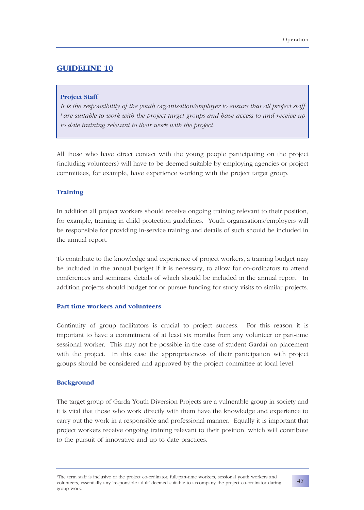#### **Project Staff**

*It is the responsibility of the youth organisation/employer to ensure that all project staff 5 are suitable to work with the project target groups and have access to and receive up to date training relevant to their work with the project.*

All those who have direct contact with the young people participating on the project (including volunteers) will have to be deemed suitable by employing agencies or project committees, for example, have experience working with the project target group.

## **Training**

In addition all project workers should receive ongoing training relevant to their position, for example, training in child protection guidelines. Youth organisations/employers will be responsible for providing in-service training and details of such should be included in the annual report.

To contribute to the knowledge and experience of project workers, a training budget may be included in the annual budget if it is necessary, to allow for co-ordinators to attend conferences and seminars, details of which should be included in the annual report. In addition projects should budget for or pursue funding for study visits to similar projects.

## **Part time workers and volunteers**

Continuity of group facilitators is crucial to project success. For this reason it is important to have a commitment of at least six months from any volunteer or part-time sessional worker. This may not be possible in the case of student Gardaí on placement with the project. In this case the appropriateness of their participation with project groups should be considered and approved by the project committee at local level.

#### **Background**

The target group of Garda Youth Diversion Projects are a vulnerable group in society and it is vital that those who work directly with them have the knowledge and experience to carry out the work in a responsible and professional manner. Equally it is important that project workers receive ongoing training relevant to their position, which will contribute to the pursuit of innovative and up to date practices.

<sup>5</sup> The term staff is inclusive of the project co-ordinator, full/part-time workers, sessional youth workers and volunteers, essentially any 'responsible adult' deemed suitable to accompany the project co-ordinator during group work.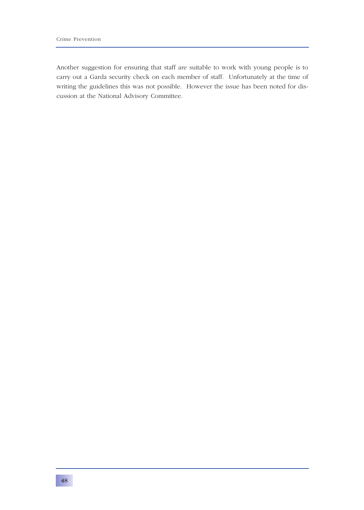Another suggestion for ensuring that staff are suitable to work with young people is to carry out a Garda security check on each member of staff. Unfortunately at the time of writing the guidelines this was not possible. However the issue has been noted for discussion at the National Advisory Committee.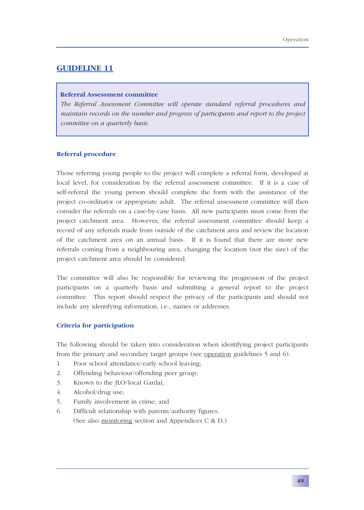## **Referral Assessment committee**

*The Referral Assessment Committee will operate standard referral procedures and maintain records on the number and progress of participants and report to the project committee on a quarterly basis.*

#### **Referral procedure**

Those referring young people to the project will complete a referral form, developed at local level, for consideration by the referral assessment committee. If it is a case of self-referral the young person should complete the form with the assistance of the project co-ordinator or appropriate adult. The referral assessment committee will then consider the referrals on a case-by-case basis. All new participants must come from the project catchment area. However, the referral assessment committee should keep a record of any referrals made from outside of the catchment area and review the location of the catchment area on an annual basis. If it is found that there are more new referrals coming from a neighbouring area, changing the location (not the size) of the project catchment area should be considered.

The committee will also be responsible for reviewing the progression of the project participants on a quarterly basis and submitting a general report to the project committee. This report should respect the privacy of the participants and should not include any identifying information, i.e., names or addresses.

#### **Criteria for participation**

The following should be taken into consideration when identifying project participants from the primary and secondary target groups (see operation guidelines 5 and 6):

- 1. Poor school attendance/early school leaving;
- 2. Offending behaviour/offending peer group;
- 3. Known to the JLO/local Gardaí;
- 4. Alcohol/drug use;
- 5. Family involvement in crime; and
- 6. Difficult relationship with parents/authority figures. (See also monitoring section and Appendices C & D.)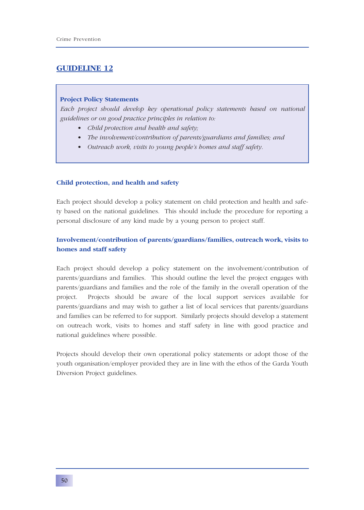#### **Project Policy Statements**

*Each project should develop key operational policy statements based on national guidelines or on good practice principles in relation to:*

- *• Child protection and health and safety;*
- *• The involvement/contribution of parents/guardians and families; and*
- *• Outreach work, visits to young people's homes and staff safety.*

#### **Child protection, and health and safety**

Each project should develop a policy statement on child protection and health and safety based on the national guidelines. This should include the procedure for reporting a personal disclosure of any kind made by a young person to project staff.

## **Involvement/contribution of parents/guardians/families, outreach work, visits to homes and staff safety**

Each project should develop a policy statement on the involvement/contribution of parents/guardians and families. This should outline the level the project engages with parents/guardians and families and the role of the family in the overall operation of the project. Projects should be aware of the local support services available for parents/guardians and may wish to gather a list of local services that parents/guardians and families can be referred to for support. Similarly projects should develop a statement on outreach work, visits to homes and staff safety in line with good practice and national guidelines where possible.

Projects should develop their own operational policy statements or adopt those of the youth organisation/employer provided they are in line with the ethos of the Garda Youth Diversion Project guidelines.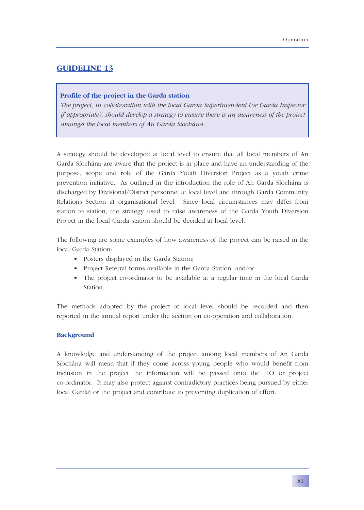## **Profile of the project in the Garda station**

*The project, in collaboration with the local Garda Superintendent (or Garda Inspector if appropriate), should develop a strategy to ensure there is an awareness of the project amongst the local members of An Garda Síochána.*

A strategy should be developed at local level to ensure that all local members of An Garda Síochána are aware that the project is in place and have an understanding of the purpose, scope and role of the Garda Youth Diversion Project as a youth crime prevention initiative. As outlined in the introduction the role of An Garda Síochána is discharged by Divisional/District personnel at local level and through Garda Community Relations Section at organisational level. Since local circumstances may differ from station to station, the strategy used to raise awareness of the Garda Youth Diversion Project in the local Garda station should be decided at local level.

The following are some examples of how awareness of the project can be raised in the local Garda Station:

- Posters displayed in the Garda Station;
- Project Referral forms available in the Garda Station; and/or
- The project co-ordinator to be available at a regular time in the local Garda Station.

The methods adopted by the project at local level should be recorded and then reported in the annual report under the section on co-operation and collaboration.

### **Background**

A knowledge and understanding of the project among local members of An Garda Síochána will mean that if they come across young people who would benefit from inclusion in the project the information will be passed onto the JLO or project co-ordinator. It may also protect against contradictory practices being pursued by either local Gardaí or the project and contribute to preventing duplication of effort.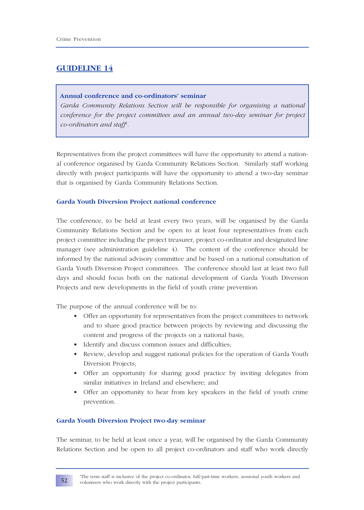## **Annual conference and co-ordinators' seminar**

*Garda Community Relations Section will be responsible for organising a national conference for the project committees and an annual two-day seminar for project co-ordinators and staff6 .*

Representatives from the project committees will have the opportunity to attend a national conference organised by Garda Community Relations Section. Similarly staff working directly with project participants will have the opportunity to attend a two-day seminar that is organised by Garda Community Relations Section.

## **Garda Youth Diversion Project national conference**

The conference, to be held at least every two years, will be organised by the Garda Community Relations Section and be open to at least four representatives from each project committee including the project treasurer, project co-ordinator and designated line manager (see administration guideline 4). The content of the conference should be informed by the national advisory committee and be based on a national consultation of Garda Youth Diversion Project committees. The conference should last at least two full days and should focus both on the national development of Garda Youth Diversion Projects and new developments in the field of youth crime prevention.

The purpose of the annual conference will be to:

- Offer an opportunity for representatives from the project committees to network and to share good practice between projects by reviewing and discussing the content and progress of the projects on a national basis;
- Identify and discuss common issues and difficulties;
- Review, develop and suggest national policies for the operation of Garda Youth Diversion Projects;
- Offer an opportunity for sharing good practice by inviting delegates from similar initiatives in Ireland and elsewhere; and
- Offer an opportunity to hear from key speakers in the field of youth crime prevention.

## **Garda Youth Diversion Project two-day seminar**

The seminar, to be held at least once a year, will be organised by the Garda Community Relations Section and be open to all project co-ordinators and staff who work directly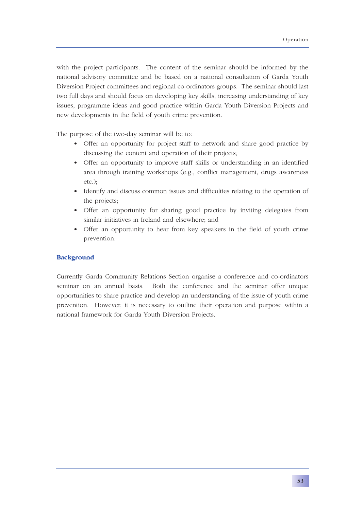with the project participants. The content of the seminar should be informed by the national advisory committee and be based on a national consultation of Garda Youth Diversion Project committees and regional co-ordinators groups. The seminar should last two full days and should focus on developing key skills, increasing understanding of key issues, programme ideas and good practice within Garda Youth Diversion Projects and new developments in the field of youth crime prevention.

The purpose of the two-day seminar will be to:

- Offer an opportunity for project staff to network and share good practice by discussing the content and operation of their projects;
- Offer an opportunity to improve staff skills or understanding in an identified area through training workshops (e.g., conflict management, drugs awareness etc.);
- Identify and discuss common issues and difficulties relating to the operation of the projects;
- Offer an opportunity for sharing good practice by inviting delegates from similar initiatives in Ireland and elsewhere; and
- Offer an opportunity to hear from key speakers in the field of youth crime prevention.

## **Background**

Currently Garda Community Relations Section organise a conference and co-ordinators seminar on an annual basis. Both the conference and the seminar offer unique opportunities to share practice and develop an understanding of the issue of youth crime prevention. However, it is necessary to outline their operation and purpose within a national framework for Garda Youth Diversion Projects.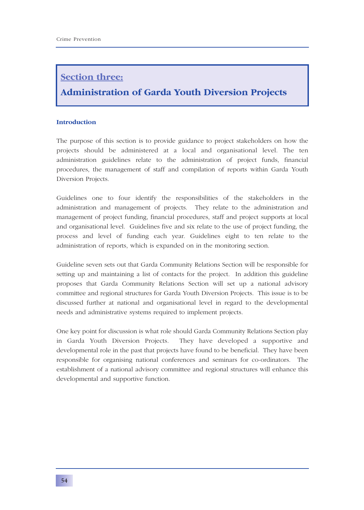# **Section three:**

# **Administration of Garda Youth Diversion Projects**

## **Introduction**

The purpose of this section is to provide guidance to project stakeholders on how the projects should be administered at a local and organisational level. The ten administration guidelines relate to the administration of project funds, financial procedures, the management of staff and compilation of reports within Garda Youth Diversion Projects.

Guidelines one to four identify the responsibilities of the stakeholders in the administration and management of projects. They relate to the administration and management of project funding, financial procedures, staff and project supports at local and organisational level. Guidelines five and six relate to the use of project funding, the process and level of funding each year. Guidelines eight to ten relate to the administration of reports, which is expanded on in the monitoring section.

Guideline seven sets out that Garda Community Relations Section will be responsible for setting up and maintaining a list of contacts for the project. In addition this guideline proposes that Garda Community Relations Section will set up a national advisory committee and regional structures for Garda Youth Diversion Projects. This issue is to be discussed further at national and organisational level in regard to the developmental needs and administrative systems required to implement projects.

One key point for discussion is what role should Garda Community Relations Section play in Garda Youth Diversion Projects. They have developed a supportive and developmental role in the past that projects have found to be beneficial. They have been responsible for organising national conferences and seminars for co-ordinators. The establishment of a national advisory committee and regional structures will enhance this developmental and supportive function.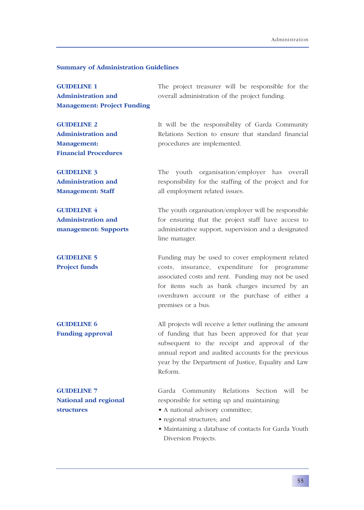#### **Summary of Administration Guidelines**

**GUIDELINE 1** The project treasurer will be responsible for the Administration and **and** overall administration of the project funding. **Management: Project Funding**

**GUIDELINE 2** It will be the responsibility of Garda Community **Administration and Relations** Section to ensure that standard financial **Management:** procedures are implemented. **Financial Procedures**

**GUIDELINE 3** The youth organisation/employer has overall **Administration and responsibility for the staffing of the project and for Management: Staff** all employment related issues.

**GUIDELINE 4** The youth organisation/employer will be responsible **Administration and for ensuring that the project staff have access to management: Supports** administrative support, supervision and a designated line manager.

**GUIDELINE 5** Funding may be used to cover employment related **Project funds** costs, insurance, expenditure for programme associated costs and rent. Funding may not be used for items such as bank charges incurred by an overdrawn account or the purchase of either a premises or a bus.

**GUIDELINE 6** All projects will receive a letter outlining the amount **Funding approval** of funding that has been approved for that year subsequent to the receipt and approval of the annual report and audited accounts for the previous year by the Department of Justice, Equality and Law Reform.

**GUIDELINE 7** Garda Community Relations Section will be **National and regional responsible for setting up and maintaining:** 

- **structures** A national advisory committee;
	- regional structures; and
	- Maintaining a database of contacts for Garda Youth Diversion Projects.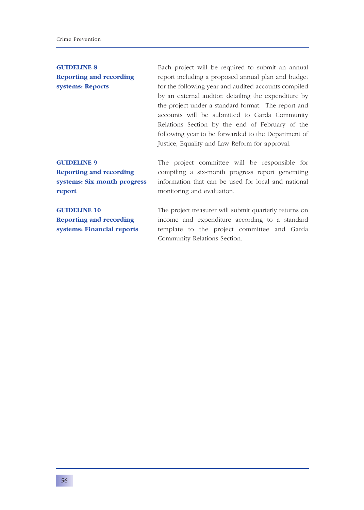**GUIDELINE 8** Each project will be required to submit an annual **Reporting and recording** report including a proposed annual plan and budget **systems: Reports** for the following year and audited accounts compiled by an external auditor, detailing the expenditure by the project under a standard format. The report and accounts will be submitted to Garda Community Relations Section by the end of February of the following year to be forwarded to the Department of Justice, Equality and Law Reform for approval.

**report** monitoring and evaluation.

**GUIDELINE 9** The project committee will be responsible for **Reporting and recording** compiling a six-month progress report generating **systems: Six month progress** information that can be used for local and national

**GUIDELINE 10** The project treasurer will submit quarterly returns on **Reporting and recording** income and expenditure according to a standard **systems: Financial reports** template to the project committee and Garda Community Relations Section.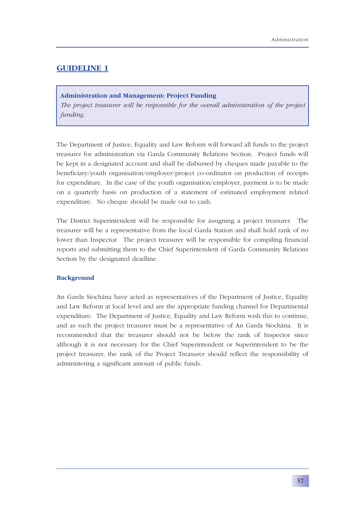## **Administration and Management: Project Funding**

*The project treasurer will be responsible for the overall administration of the project funding.*

The Department of Justice, Equality and Law Reform will forward all funds to the project treasurer for administration via Garda Community Relations Section. Project funds will be kept in a designated account and shall be disbursed by cheques made payable to the beneficiary/youth organisation/employer/project co-ordinator on production of receipts for expenditure. In the case of the youth organisation/employer, payment is to be made on a quarterly basis on production of a statement of estimated employment related expenditure. No cheque should be made out to cash.

The District Superintendent will be responsible for assigning a project treasurer. The treasurer will be a representative from the local Garda Station and shall hold rank of no lower than Inspector. The project treasurer will be responsible for compiling financial reports and submitting them to the Chief Superintendent of Garda Community Relations Section by the designated deadline.

## **Background**

An Garda Síochána have acted as representatives of the Department of Justice, Equality and Law Reform at local level and are the appropriate funding channel for Departmental expenditure. The Department of Justice, Equality and Law Reform wish this to continue, and as such the project treasurer must be a representative of An Garda Síochána. It is recommended that the treasurer should not be below the rank of Inspector since although it is not necessary for the Chief Superintendent or Superintendent to be the project treasurer, the rank of the Project Treasurer should reflect the responsibility of administering a significant amount of public funds.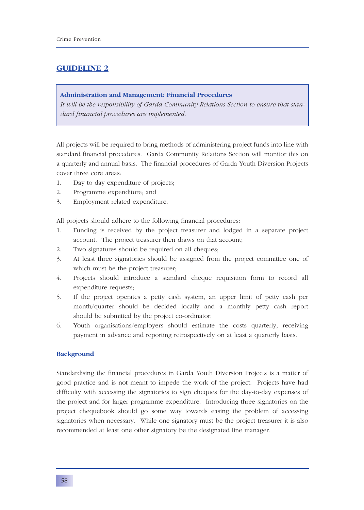## **Administration and Management: Financial Procedures**

*It will be the responsibility of Garda Community Relations Section to ensure that standard financial procedures are implemented.*

All projects will be required to bring methods of administering project funds into line with standard financial procedures. Garda Community Relations Section will monitor this on a quarterly and annual basis. The financial procedures of Garda Youth Diversion Projects cover three core areas:

- 1. Day to day expenditure of projects;
- 2. Programme expenditure; and
- 3. Employment related expenditure.

All projects should adhere to the following financial procedures:

- 1. Funding is received by the project treasurer and lodged in a separate project account. The project treasurer then draws on that account;
- 2. Two signatures should be required on all cheques;
- 3. At least three signatories should be assigned from the project committee one of which must be the project treasurer;
- 4. Projects should introduce a standard cheque requisition form to record all expenditure requests;
- 5. If the project operates a petty cash system, an upper limit of petty cash per month/quarter should be decided locally and a monthly petty cash report should be submitted by the project co-ordinator;
- 6. Youth organisations/employers should estimate the costs quarterly, receiving payment in advance and reporting retrospectively on at least a quarterly basis.

### **Background**

Standardising the financial procedures in Garda Youth Diversion Projects is a matter of good practice and is not meant to impede the work of the project. Projects have had difficulty with accessing the signatories to sign cheques for the day-to-day expenses of the project and for larger programme expenditure. Introducing three signatories on the project chequebook should go some way towards easing the problem of accessing signatories when necessary. While one signatory must be the project treasurer it is also recommended at least one other signatory be the designated line manager.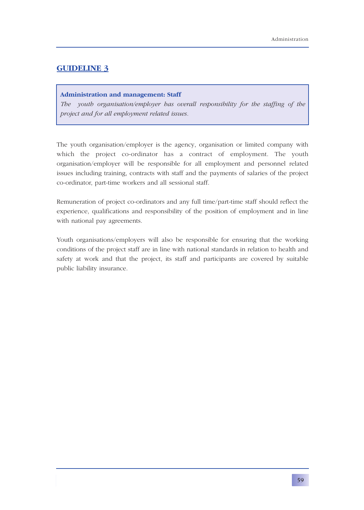## **Administration and management: Staff**

*The youth organisation/employer has overall responsibility for the staffing of the project and for all employment related issues.*

The youth organisation/employer is the agency, organisation or limited company with which the project co-ordinator has a contract of employment. The youth organisation/employer will be responsible for all employment and personnel related issues including training, contracts with staff and the payments of salaries of the project co-ordinator, part-time workers and all sessional staff.

Remuneration of project co-ordinators and any full time/part-time staff should reflect the experience, qualifications and responsibility of the position of employment and in line with national pay agreements.

Youth organisations/employers will also be responsible for ensuring that the working conditions of the project staff are in line with national standards in relation to health and safety at work and that the project, its staff and participants are covered by suitable public liability insurance.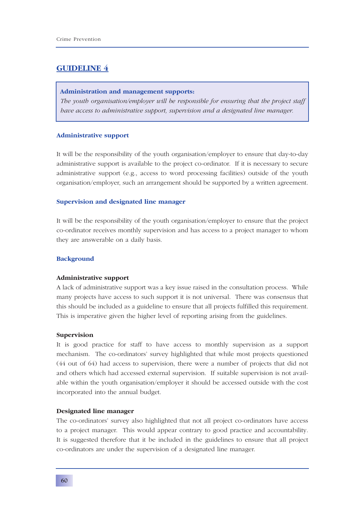#### **Administration and management supports:**

*The youth organisation/employer will be responsible for ensuring that the project staff have access to administrative support, supervision and a designated line manager.*

#### **Administrative support**

It will be the responsibility of the youth organisation/employer to ensure that day-to-day administrative support is available to the project co-ordinator. If it is necessary to secure administrative support (e.g., access to word processing facilities) outside of the youth organisation/employer, such an arrangement should be supported by a written agreement.

#### **Supervision and designated line manager**

It will be the responsibility of the youth organisation/employer to ensure that the project co-ordinator receives monthly supervision and has access to a project manager to whom they are answerable on a daily basis.

#### **Background**

#### **Administrative support**

A lack of administrative support was a key issue raised in the consultation process. While many projects have access to such support it is not universal. There was consensus that this should be included as a guideline to ensure that all projects fulfilled this requirement. This is imperative given the higher level of reporting arising from the guidelines.

#### **Supervision**

It is good practice for staff to have access to monthly supervision as a support mechanism. The co-ordinators' survey highlighted that while most projects questioned (44 out of 64) had access to supervision, there were a number of projects that did not and others which had accessed external supervision. If suitable supervision is not available within the youth organisation/employer it should be accessed outside with the cost incorporated into the annual budget.

#### **Designated line manager**

The co-ordinators' survey also highlighted that not all project co-ordinators have access to a project manager. This would appear contrary to good practice and accountability. It is suggested therefore that it be included in the guidelines to ensure that all project co-ordinators are under the supervision of a designated line manager.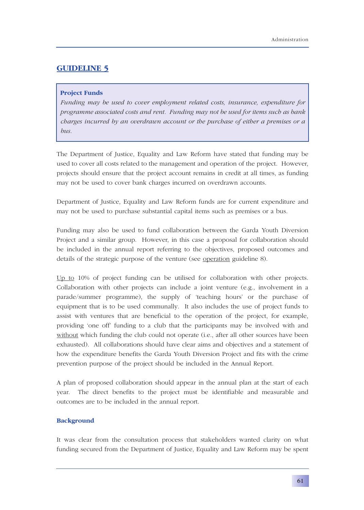## **Project Funds**

*Funding may be used to cover employment related costs, insurance, expenditure for programme associated costs and rent. Funding may not be used for items such as bank charges incurred by an overdrawn account or the purchase of either a premises or a bus.* 

The Department of Justice, Equality and Law Reform have stated that funding may be used to cover all costs related to the management and operation of the project. However, projects should ensure that the project account remains in credit at all times, as funding may not be used to cover bank charges incurred on overdrawn accounts.

Department of Justice, Equality and Law Reform funds are for current expenditure and may not be used to purchase substantial capital items such as premises or a bus.

Funding may also be used to fund collaboration between the Garda Youth Diversion Project and a similar group. However, in this case a proposal for collaboration should be included in the annual report referring to the objectives, proposed outcomes and details of the strategic purpose of the venture (see operation guideline 8).

Up to 10% of project funding can be utilised for collaboration with other projects. Collaboration with other projects can include a joint venture (e.g., involvement in a parade/summer programme), the supply of 'teaching hours' or the purchase of equipment that is to be used communally. It also includes the use of project funds to assist with ventures that are beneficial to the operation of the project, for example, providing 'one off' funding to a club that the participants may be involved with and without which funding the club could not operate (i.e., after all other sources have been exhausted). All collaborations should have clear aims and objectives and a statement of how the expenditure benefits the Garda Youth Diversion Project and fits with the crime prevention purpose of the project should be included in the Annual Report.

A plan of proposed collaboration should appear in the annual plan at the start of each year. The direct benefits to the project must be identifiable and measurable and outcomes are to be included in the annual report.

## **Background**

It was clear from the consultation process that stakeholders wanted clarity on what funding secured from the Department of Justice, Equality and Law Reform may be spent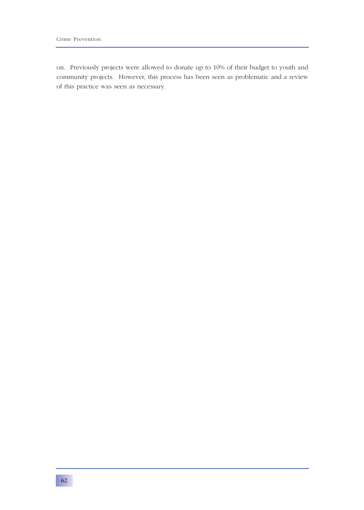on. Previously projects were allowed to donate up to 10% of their budget to youth and community projects. However, this process has been seen as problematic and a review of this practice was seen as necessary.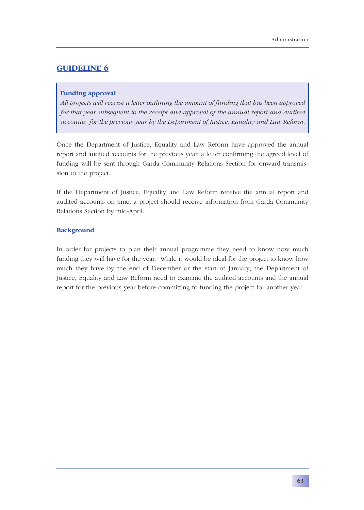## **Funding approval**

*All projects will receive a letter outlining the amount of funding that has been approved for that year subsequent to the receipt and approval of the annual report and audited accounts for the previous year by the Department of Justice, Equality and Law Reform.*

Once the Department of Justice, Equality and Law Reform have approved the annual report and audited accounts for the previous year, a letter confirming the agreed level of funding will be sent through Garda Community Relations Section for onward transmission to the project.

If the Department of Justice, Equality and Law Reform receive the annual report and audited accounts on time, a project should receive information from Garda Community Relations Section by mid-April.

## **Background**

In order for projects to plan their annual programme they need to know how much funding they will have for the year. While it would be ideal for the project to know how much they have by the end of December or the start of January, the Department of Justice, Equality and Law Reform need to examine the audited accounts and the annual report for the previous year before committing to funding the project for another year.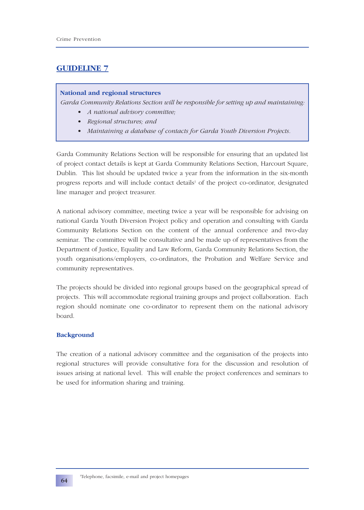## **National and regional structures**

*Garda Community Relations Section will be responsible for setting up and maintaining:*

- *A national advisory committee;*
- *• Regional structures; and*
- *• Maintaining a database of contacts for Garda Youth Diversion Projects.*

Garda Community Relations Section will be responsible for ensuring that an updated list of project contact details is kept at Garda Community Relations Section, Harcourt Square, Dublin. This list should be updated twice a year from the information in the six-month progress reports and will include contact details<sup>1</sup> of the project co-ordinator, designated line manager and project treasurer.

A national advisory committee, meeting twice a year will be responsible for advising on national Garda Youth Diversion Project policy and operation and consulting with Garda Community Relations Section on the content of the annual conference and two-day seminar. The committee will be consultative and be made up of representatives from the Department of Justice, Equality and Law Reform, Garda Community Relations Section, the youth organisations/employers, co-ordinators, the Probation and Welfare Service and community representatives.

The projects should be divided into regional groups based on the geographical spread of projects. This will accommodate regional training groups and project collaboration. Each region should nominate one co-ordinator to represent them on the national advisory board.

## **Background**

The creation of a national advisory committee and the organisation of the projects into regional structures will provide consultative fora for the discussion and resolution of issues arising at national level. This will enable the project conferences and seminars to be used for information sharing and training.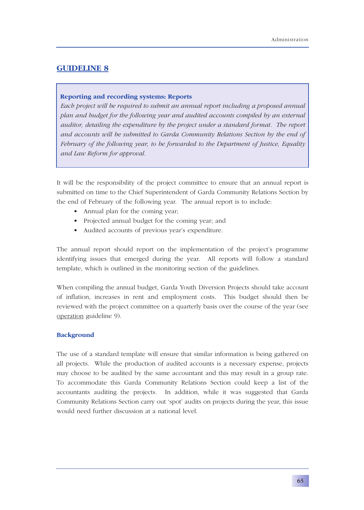### **Reporting and recording systems: Reports**

*Each project will be required to submit an annual report including a proposed annual plan and budget for the following year and audited accounts compiled by an external auditor, detailing the expenditure by the project under a standard format. The report and accounts will be submitted to Garda Community Relations Section by the end of February of the following year, to be forwarded to the Department of Justice, Equality and Law Reform for approval.*

It will be the responsibility of the project committee to ensure that an annual report is submitted on time to the Chief Superintendent of Garda Community Relations Section by the end of February of the following year. The annual report is to include:

- Annual plan for the coming year;
- Projected annual budget for the coming year; and
- Audited accounts of previous year's expenditure.

The annual report should report on the implementation of the project's programme identifying issues that emerged during the year. All reports will follow a standard template, which is outlined in the monitoring section of the guidelines.

When compiling the annual budget, Garda Youth Diversion Projects should take account of inflation, increases in rent and employment costs. This budget should then be reviewed with the project committee on a quarterly basis over the course of the year (see operation guideline 9).

## **Background**

The use of a standard template will ensure that similar information is being gathered on all projects. While the production of audited accounts is a necessary expense, projects may choose to be audited by the same accountant and this may result in a group rate. To accommodate this Garda Community Relations Section could keep a list of the accountants auditing the projects. In addition, while it was suggested that Garda Community Relations Section carry out 'spot' audits on projects during the year, this issue would need further discussion at a national level.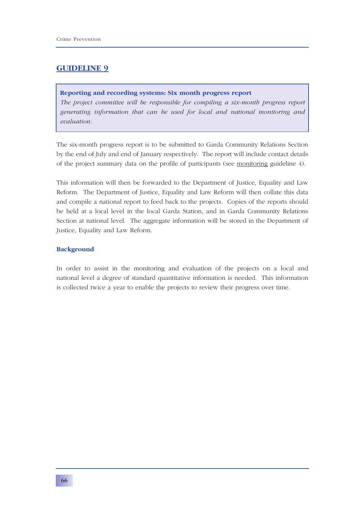### **Reporting and recording systems: Six month progress report**

*The project committee will be responsible for compiling a six-month progress report generating information that can be used for local and national monitoring and evaluation.*

The six-month progress report is to be submitted to Garda Community Relations Section by the end of July and end of January respectively. The report will include contact details of the project summary data on the profile of participants (see monitoring guideline 4).

This information will then be forwarded to the Department of Justice, Equality and Law Reform. The Department of Justice, Equality and Law Reform will then collate this data and compile a national report to feed back to the projects. Copies of the reports should be held at a local level in the local Garda Station, and in Garda Community Relations Section at national level. The aggregate information will be stored in the Department of Justice, Equality and Law Reform.

### **Background**

In order to assist in the monitoring and evaluation of the projects on a local and national level a degree of standard quantitative information is needed. This information is collected twice a year to enable the projects to review their progress over time.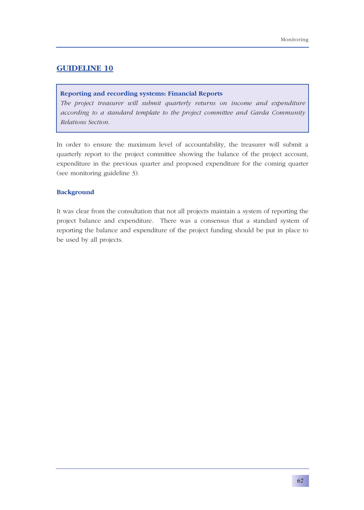### **Reporting and recording systems: Financial Reports**

*The project treasurer will submit quarterly returns on income and expenditure according to a standard template to the project committee and Garda Community Relations Section.*

In order to ensure the maximum level of accountability, the treasurer will submit a quarterly report to the project committee showing the balance of the project account, expenditure in the previous quarter and proposed expenditure for the coming quarter (see monitoring guideline 3).

### **Background**

It was clear from the consultation that not all projects maintain a system of reporting the project balance and expenditure. There was a consensus that a standard system of reporting the balance and expenditure of the project funding should be put in place to be used by all projects.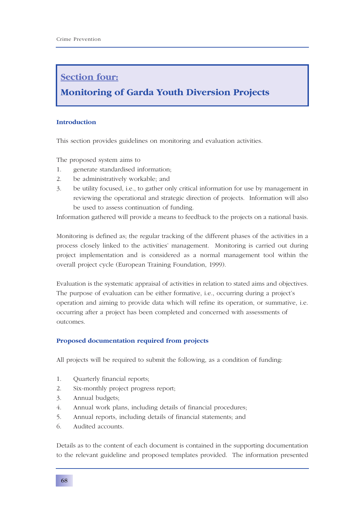### **Section four:**

### **Monitoring of Garda Youth Diversion Projects**

### **Introduction**

This section provides guidelines on monitoring and evaluation activities.

The proposed system aims to

- 1. generate standardised information;
- 2. be administratively workable; and
- 3. be utility focused, i.e., to gather only critical information for use by management in reviewing the operational and strategic direction of projects. Information will also be used to assess continuation of funding.

Information gathered will provide a means to feedback to the projects on a national basis.

Monitoring is defined as; the regular tracking of the different phases of the activities in a process closely linked to the activities' management. Monitoring is carried out during project implementation and is considered as a normal management tool within the overall project cycle (European Training Foundation, 1999).

Evaluation is the systematic appraisal of activities in relation to stated aims and objectives. The purpose of evaluation can be either formative, i.e., occurring during a project's operation and aiming to provide data which will refine its operation, or summative, i.e. occurring after a project has been completed and concerned with assessments of outcomes.

### **Proposed documentation required from projects**

All projects will be required to submit the following, as a condition of funding:

- 1. Quarterly financial reports;
- 2. Six-monthly project progress report;
- 3. Annual budgets;
- 4. Annual work plans, including details of financial procedures;
- 5. Annual reports, including details of financial statements; and
- 6. Audited accounts.

Details as to the content of each document is contained in the supporting documentation to the relevant guideline and proposed templates provided. The information presented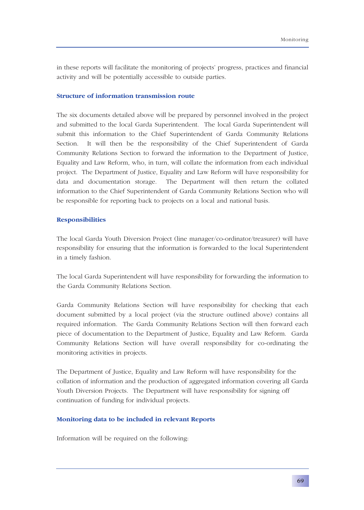in these reports will facilitate the monitoring of projects' progress, practices and financial activity and will be potentially accessible to outside parties.

### **Structure of information transmission route**

The six documents detailed above will be prepared by personnel involved in the project and submitted to the local Garda Superintendent. The local Garda Superintendent will submit this information to the Chief Superintendent of Garda Community Relations Section. It will then be the responsibility of the Chief Superintendent of Garda Community Relations Section to forward the information to the Department of Justice, Equality and Law Reform, who, in turn, will collate the information from each individual project. The Department of Justice, Equality and Law Reform will have responsibility for data and documentation storage. The Department will then return the collated information to the Chief Superintendent of Garda Community Relations Section who will be responsible for reporting back to projects on a local and national basis.

### **Responsibilities**

The local Garda Youth Diversion Project (line manager/co-ordinator/treasurer) will have responsibility for ensuring that the information is forwarded to the local Superintendent in a timely fashion.

The local Garda Superintendent will have responsibility for forwarding the information to the Garda Community Relations Section.

Garda Community Relations Section will have responsibility for checking that each document submitted by a local project (via the structure outlined above) contains all required information. The Garda Community Relations Section will then forward each piece of documentation to the Department of Justice, Equality and Law Reform. Garda Community Relations Section will have overall responsibility for co-ordinating the monitoring activities in projects.

The Department of Justice, Equality and Law Reform will have responsibility for the collation of information and the production of aggregated information covering all Garda Youth Diversion Projects. The Department will have responsibility for signing off continuation of funding for individual projects.

### **Monitoring data to be included in relevant Reports**

Information will be required on the following: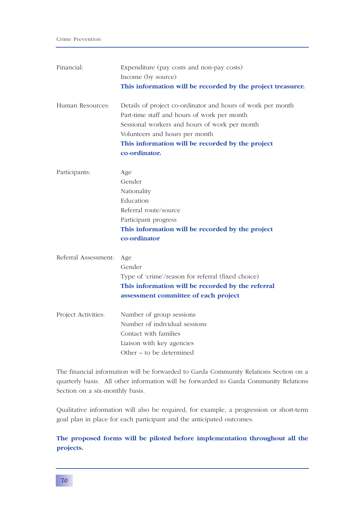| Financial:           | Expenditure (pay costs and non-pay costs)<br>Income (by source)<br>This information will be recorded by the project treasurer.                                                                                                                                     |
|----------------------|--------------------------------------------------------------------------------------------------------------------------------------------------------------------------------------------------------------------------------------------------------------------|
| Human Resources:     | Details of project co-ordinator and hours of work per month<br>Part-time staff and hours of work per month<br>Sessional workers and hours of work per month<br>Volunteers and hours per month<br>This information will be recorded by the project<br>co-ordinator. |
| Participants:        | Age<br>Gender<br>Nationality<br>Education<br>Referral route/source<br>Participant progress<br>This information will be recorded by the project<br>co-ordinator                                                                                                     |
| Referral Assessment: | Age<br>Gender<br>Type of 'crime'/reason for referral (fixed choice)<br>This information will be recorded by the referral<br>assessment committee of each project                                                                                                   |
| Project Activities:  | Number of group sessions<br>Number of individual sessions<br>Contact with families<br>Liaison with key agencies<br>Other – to be determined                                                                                                                        |

The financial information will be forwarded to Garda Community Relations Section on a quarterly basis. All other information will be forwarded to Garda Community Relations Section on a six-monthly basis.

Qualitative information will also be required, for example, a progression or short-term goal plan in place for each participant and the anticipated outcomes.

### **The proposed forms will be piloted before implementation throughout all the projects.**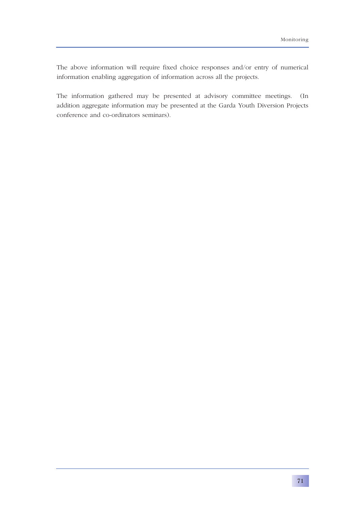The above information will require fixed choice responses and/or entry of numerical information enabling aggregation of information across all the projects.

The information gathered may be presented at advisory committee meetings. (In addition aggregate information may be presented at the Garda Youth Diversion Projects conference and co-ordinators seminars).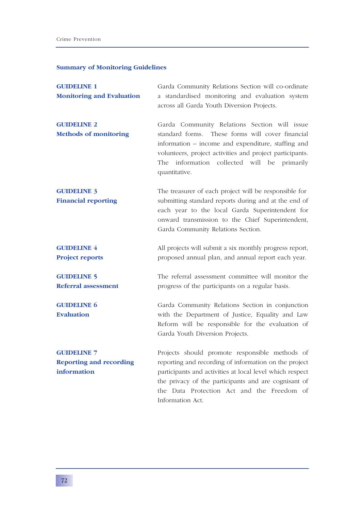### **Summary of Monitoring Guidelines**

| <b>GUIDELINE 1</b><br><b>Monitoring and Evaluation</b>              | Garda Community Relations Section will co-ordinate<br>a standardised monitoring and evaluation system<br>across all Garda Youth Diversion Projects.                                                                                                                                           |
|---------------------------------------------------------------------|-----------------------------------------------------------------------------------------------------------------------------------------------------------------------------------------------------------------------------------------------------------------------------------------------|
| <b>GUIDELINE 2</b><br><b>Methods of monitoring</b>                  | Garda Community Relations Section will issue<br>standard forms. These forms will cover financial<br>information – income and expenditure, staffing and<br>volunteers, project activities and project participants.<br>The information collected will be primarily<br>quantitative.            |
| <b>GUIDELINE 3</b><br><b>Financial reporting</b>                    | The treasurer of each project will be responsible for<br>submitting standard reports during and at the end of<br>each year to the local Garda Superintendent for<br>onward transmission to the Chief Superintendent,<br>Garda Community Relations Section.                                    |
| <b>GUIDELINE 4</b><br><b>Project reports</b>                        | All projects will submit a six monthly progress report,<br>proposed annual plan, and annual report each year.                                                                                                                                                                                 |
| <b>GUIDELINE 5</b><br><b>Referral assessment</b>                    | The referral assessment committee will monitor the<br>progress of the participants on a regular basis.                                                                                                                                                                                        |
| <b>GUIDELINE 6</b><br><b>Evaluation</b>                             | Garda Community Relations Section in conjunction<br>with the Department of Justice, Equality and Law<br>Reform will be responsible for the evaluation of<br>Garda Youth Diversion Projects.                                                                                                   |
| <b>GUIDELINE 7</b><br><b>Reporting and recording</b><br>information | Projects should promote responsible methods of<br>reporting and recording of information on the project<br>participants and activities at local level which respect<br>the privacy of the participants and are cognisant of<br>the Data Protection Act and the Freedom of<br>Information Act. |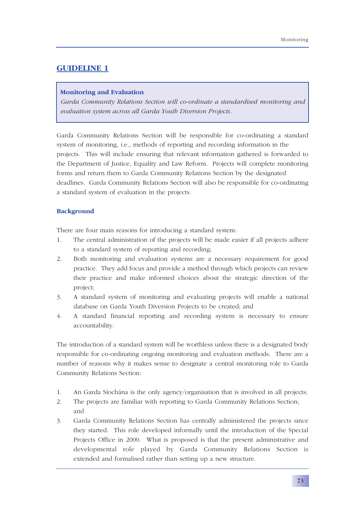### **Monitoring and Evaluation**

*Garda Community Relations Section will co-ordinate a standardised monitoring and evaluation system across all Garda Youth Diversion Projects.*

Garda Community Relations Section will be responsible for co-ordinating a standard system of monitoring, i.e., methods of reporting and recording information in the projects. This will include ensuring that relevant information gathered is forwarded to the Department of Justice, Equality and Law Reform. Projects will complete monitoring forms and return them to Garda Community Relations Section by the designated deadlines. Garda Community Relations Section will also be responsible for co-ordinating a standard system of evaluation in the projects.

### **Background**

There are four main reasons for introducing a standard system:

- 1. The central administration of the projects will be made easier if all projects adhere to a standard system of reporting and recording;
- 2. Both monitoring and evaluation systems are a necessary requirement for good practice. They add focus and provide a method through which projects can review their practice and make informed choices about the strategic direction of the project;
- 3. A standard system of monitoring and evaluating projects will enable a national database on Garda Youth Diversion Projects to be created; and
- 4. A standard financial reporting and recording system is necessary to ensure accountability.

The introduction of a standard system will be worthless unless there is a designated body responsible for co-ordinating ongoing monitoring and evaluation methods. There are a number of reasons why it makes sense to designate a central monitoring role to Garda Community Relations Section:

- 1. An Garda Síochána is the only agency/organisation that is involved in all projects;
- 2. The projects are familiar with reporting to Garda Community Relations Section; and
- 3. Garda Community Relations Section has centrally administered the projects since they started. This role developed informally until the introduction of the Special Projects Office in 2000. What is proposed is that the present administrative and developmental role played by Garda Community Relations Section is extended and formalised rather than setting up a new structure.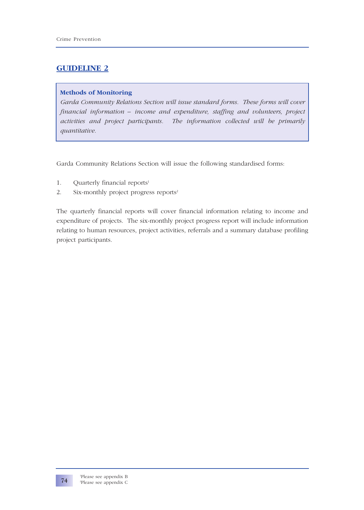### **Methods of Monitoring**

*Garda Community Relations Section will issue standard forms. These forms will cover financial information – income and expenditure, staffing and volunteers, project activities and project participants. The information collected will be primarily quantitative.*

Garda Community Relations Section will issue the following standardised forms:

- 1. Quarterly financial reports $1$
- 2. Six-monthly project progress reports<sup>2</sup>

The quarterly financial reports will cover financial information relating to income and expenditure of projects. The six-monthly project progress report will include information relating to human resources, project activities, referrals and a summary database profiling project participants.

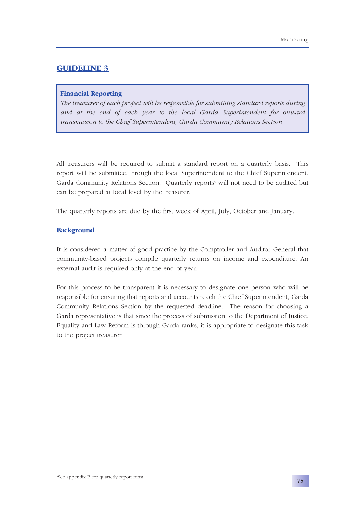### **Financial Reporting**

*The treasurer of each project will be responsible for submitting standard reports during and at the end of each year to the local Garda Superintendent for onward transmission to the Chief Superintendent, Garda Community Relations Section*

All treasurers will be required to submit a standard report on a quarterly basis. This report will be submitted through the local Superintendent to the Chief Superintendent, Garda Community Relations Section. Quarterly reports<sup>3</sup> will not need to be audited but can be prepared at local level by the treasurer.

The quarterly reports are due by the first week of April, July, October and January.

### **Background**

It is considered a matter of good practice by the Comptroller and Auditor General that community-based projects compile quarterly returns on income and expenditure. An external audit is required only at the end of year.

For this process to be transparent it is necessary to designate one person who will be responsible for ensuring that reports and accounts reach the Chief Superintendent, Garda Community Relations Section by the requested deadline. The reason for choosing a Garda representative is that since the process of submission to the Department of Justice, Equality and Law Reform is through Garda ranks, it is appropriate to designate this task to the project treasurer.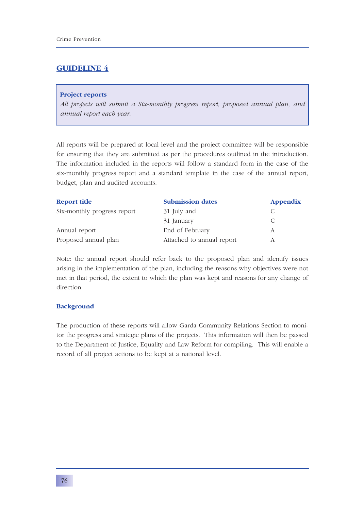### **Project reports**

*All projects will submit a Six-monthly progress report, proposed annual plan, and annual report each year.*

All reports will be prepared at local level and the project committee will be responsible for ensuring that they are submitted as per the procedures outlined in the introduction. The information included in the reports will follow a standard form in the case of the six-monthly progress report and a standard template in the case of the annual report, budget, plan and audited accounts.

| <b>Report title</b>         | <b>Submission dates</b>   | Appendix |
|-----------------------------|---------------------------|----------|
| Six-monthly progress report | 31 July and               |          |
|                             | 31 January                |          |
| Annual report               | End of February           | А        |
| Proposed annual plan        | Attached to annual report |          |

Note: the annual report should refer back to the proposed plan and identify issues arising in the implementation of the plan, including the reasons why objectives were not met in that period, the extent to which the plan was kept and reasons for any change of direction.

### **Background**

The production of these reports will allow Garda Community Relations Section to monitor the progress and strategic plans of the projects. This information will then be passed to the Department of Justice, Equality and Law Reform for compiling. This will enable a record of all project actions to be kept at a national level.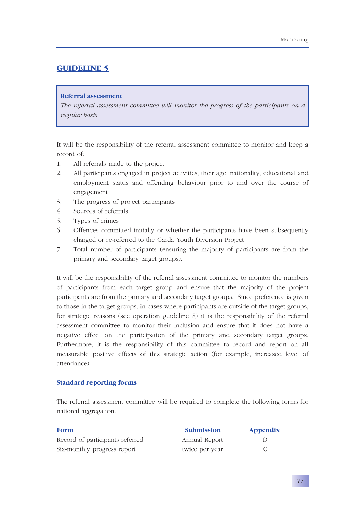### **Referral assessment**

*The referral assessment committee will monitor the progress of the participants on a regular basis.*

It will be the responsibility of the referral assessment committee to monitor and keep a record of:

- 1. All referrals made to the project
- 2. All participants engaged in project activities, their age, nationality, educational and employment status and offending behaviour prior to and over the course of engagement
- 3. The progress of project participants
- 4. Sources of referrals
- 5. Types of crimes
- 6. Offences committed initially or whether the participants have been subsequently charged or re-referred to the Garda Youth Diversion Project
- 7. Total number of participants (ensuring the majority of participants are from the primary and secondary target groups).

It will be the responsibility of the referral assessment committee to monitor the numbers of participants from each target group and ensure that the majority of the project participants are from the primary and secondary target groups. Since preference is given to those in the target groups, in cases where participants are outside of the target groups, for strategic reasons (see operation guideline 8) it is the responsibility of the referral assessment committee to monitor their inclusion and ensure that it does not have a negative effect on the participation of the primary and secondary target groups. Furthermore, it is the responsibility of this committee to record and report on all measurable positive effects of this strategic action (for example, increased level of attendance).

### **Standard reporting forms**

The referral assessment committee will be required to complete the following forms for national aggregation.

| Form                            | <b>Submission</b> | <b>Appendix</b> |
|---------------------------------|-------------------|-----------------|
| Record of participants referred | Annual Report     |                 |
| Six-monthly progress report     | twice per year    |                 |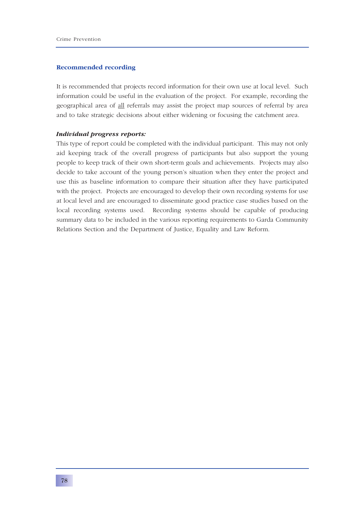### **Recommended recording**

It is recommended that projects record information for their own use at local level. Such information could be useful in the evaluation of the project. For example, recording the geographical area of all referrals may assist the project map sources of referral by area and to take strategic decisions about either widening or focusing the catchment area.

### *Individual progress reports:*

This type of report could be completed with the individual participant. This may not only aid keeping track of the overall progress of participants but also support the young people to keep track of their own short-term goals and achievements. Projects may also decide to take account of the young person's situation when they enter the project and use this as baseline information to compare their situation after they have participated with the project. Projects are encouraged to develop their own recording systems for use at local level and are encouraged to disseminate good practice case studies based on the local recording systems used. Recording systems should be capable of producing summary data to be included in the various reporting requirements to Garda Community Relations Section and the Department of Justice, Equality and Law Reform.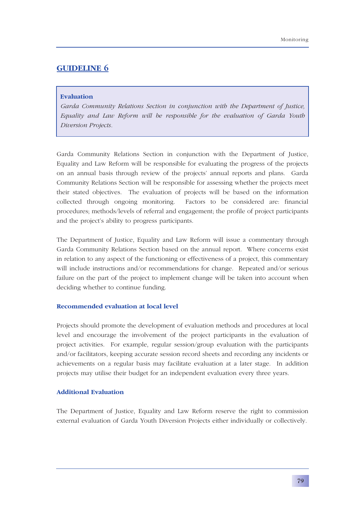### **Evaluation**

*Garda Community Relations Section in conjunction with the Department of Justice, Equality and Law Reform will be responsible for the evaluation of Garda Youth Diversion Projects.*

Garda Community Relations Section in conjunction with the Department of Justice, Equality and Law Reform will be responsible for evaluating the progress of the projects on an annual basis through review of the projects' annual reports and plans. Garda Community Relations Section will be responsible for assessing whether the projects meet their stated objectives. The evaluation of projects will be based on the information collected through ongoing monitoring. Factors to be considered are: financial procedures; methods/levels of referral and engagement; the profile of project participants and the project's ability to progress participants.

The Department of Justice, Equality and Law Reform will issue a commentary through Garda Community Relations Section based on the annual report. Where concerns exist in relation to any aspect of the functioning or effectiveness of a project, this commentary will include instructions and/or recommendations for change. Repeated and/or serious failure on the part of the project to implement change will be taken into account when deciding whether to continue funding.

### **Recommended evaluation at local level**

Projects should promote the development of evaluation methods and procedures at local level and encourage the involvement of the project participants in the evaluation of project activities. For example, regular session/group evaluation with the participants and/or facilitators, keeping accurate session record sheets and recording any incidents or achievements on a regular basis may facilitate evaluation at a later stage. In addition projects may utilise their budget for an independent evaluation every three years.

### **Additional Evaluation**

The Department of Justice, Equality and Law Reform reserve the right to commission external evaluation of Garda Youth Diversion Projects either individually or collectively.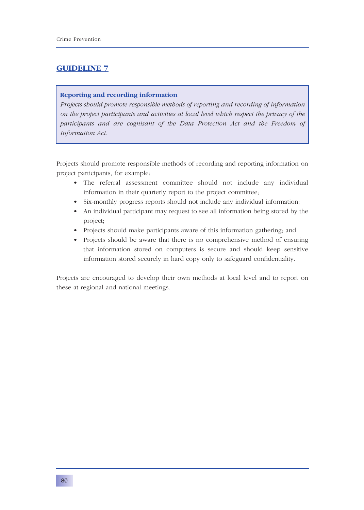### **Reporting and recording information**

*Projects should promote responsible methods of reporting and recording of information on the project participants and activities at local level which respect the privacy of the participants and are cognisant of the Data Protection Act and the Freedom of Information Act.*

Projects should promote responsible methods of recording and reporting information on project participants, for example:

- The referral assessment committee should not include any individual information in their quarterly report to the project committee;
- Six-monthly progress reports should not include any individual information;
- An individual participant may request to see all information being stored by the project;
- Projects should make participants aware of this information gathering; and
- Projects should be aware that there is no comprehensive method of ensuring that information stored on computers is secure and should keep sensitive information stored securely in hard copy only to safeguard confidentiality.

Projects are encouraged to develop their own methods at local level and to report on these at regional and national meetings.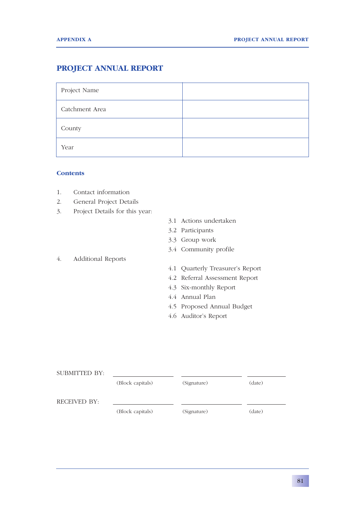### **PROJECT ANNUAL REPORT**

| Project Name   |  |
|----------------|--|
| Catchment Area |  |
| County         |  |
| Year           |  |

### **Contents**

- 1. Contact information
- 2. General Project Details
- 3. Project Details for this year:
- 3.1 Actions undertaken
- 3.2 Participants
- 3.3 Group work
- 3.4 Community profile
- 4. Additional Reports
- 4.1 Quarterly Treasurer's Report
- 4.2 Referral Assessment Report
- 4.3 Six-monthly Report
- 4.4 Annual Plan
- 4.5 Proposed Annual Budget
- 4.6 Auditor's Report

| SUBMITTED BY: |                  |             |        |
|---------------|------------------|-------------|--------|
|               | (Block capitals) | (Signature) | (date) |
| RECEIVED BY:  |                  |             |        |
|               | (Block capitals) | (Signature) | (date) |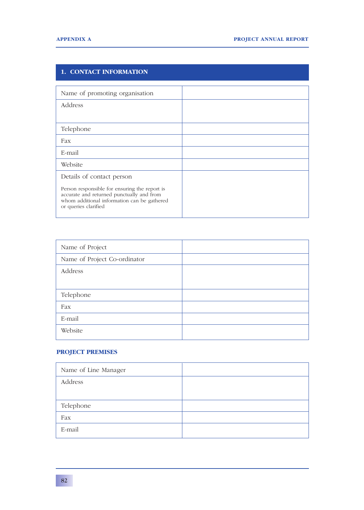### **1. CONTACT INFORMATION** Name of promoting organisation Address Telephone Fax E-mail Website Details of contact person Person responsible for ensuring the report is accurate and returned punctually and from whom additional information can be gathered or queries clarified

| Name of Project              |  |
|------------------------------|--|
| Name of Project Co-ordinator |  |
| Address                      |  |
|                              |  |
| Telephone                    |  |
| Fax                          |  |
| E-mail                       |  |
| Website                      |  |

### **PROJECT PREMISES**

| Name of Line Manager |  |
|----------------------|--|
| Address              |  |
|                      |  |
| Telephone            |  |
| Fax                  |  |
| E-mail               |  |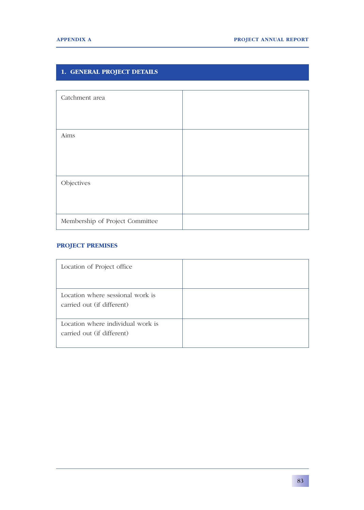### **1. GENERAL PROJECT DETAILS**

| Catchment area                  |  |
|---------------------------------|--|
|                                 |  |
| Aims                            |  |
|                                 |  |
|                                 |  |
| Objectives                      |  |
|                                 |  |
| Membership of Project Committee |  |

### **PROJECT PREMISES**

| Location of Project office                                      |  |
|-----------------------------------------------------------------|--|
| Location where sessional work is<br>carried out (if different)  |  |
| Location where individual work is<br>carried out (if different) |  |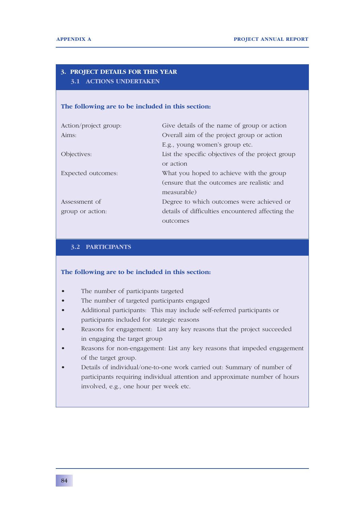### **3. PROJECT DETAILS FOR THIS YEAR 3.1 ACTIONS UNDERTAKEN**

### **The following are to be included in this section:**

| Action/project group: | Give details of the name of group or action       |
|-----------------------|---------------------------------------------------|
| Aims:                 | Overall aim of the project group or action        |
|                       | E.g., young women's group etc.                    |
| Objectives:           | List the specific objectives of the project group |
|                       | or action                                         |
| Expected outcomes:    | What you hoped to achieve with the group          |
|                       | (ensure that the outcomes are realistic and       |
|                       | measurable)                                       |
| Assessment of         | Degree to which outcomes were achieved or         |
| group or action:      | details of difficulties encountered affecting the |
|                       | outcomes                                          |

### **3.2 PARTICIPANTS**

### **The following are to be included in this section:**

- The number of participants targeted
- The number of targeted participants engaged
- Additional participants: This may include self-referred participants or participants included for strategic reasons
- Reasons for engagement: List any key reasons that the project succeeded in engaging the target group
- Reasons for non-engagement: List any key reasons that impeded engagement of the target group.
- Details of individual/one-to-one work carried out: Summary of number of participants requiring individual attention and approximate number of hours involved, e.g., one hour per week etc.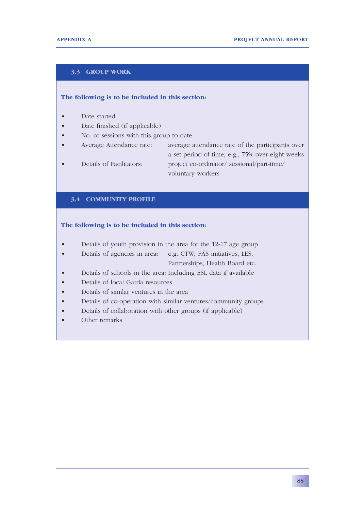### **3.3 GROUP WORK**

### **The following is to be included in this section:**

- Date started
- Date finished (if applicable)
- No. of sessions with this group to date
- Average Attendance rate: average attendance rate of the participants over a set period of time, e.g., 75% over eight weeks • Details of Facilitators: project co-ordinator/ sessional/part-time/ voluntary workers

### **3.4 COMMUNITY PROFILE**

### **The following is to be included in this section:**

- Details of youth provision in the area for the 12-17 age group
- Details of agencies in area: e.g. CTW, FÁS initiatives, LES, Partnerships, Health Board etc.

• Details of schools in the area: Including ESL data if available

- Details of local Garda resources
- Details of similar ventures in the area
- Details of co-operation with similar ventures/community groups
- Details of collaboration with other groups (if applicable)
- Other remarks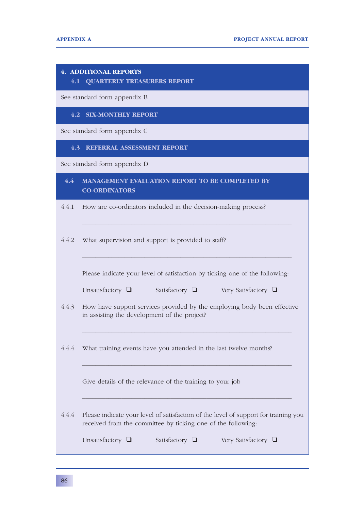|       | <b>4. ADDITIONAL REPORTS</b><br><b>4.1 QUARTERLY TREASURERS REPORT</b>                                                                              |
|-------|-----------------------------------------------------------------------------------------------------------------------------------------------------|
|       | See standard form appendix B                                                                                                                        |
|       | <b>4.2 SIX-MONTHLY REPORT</b>                                                                                                                       |
|       | See standard form appendix C                                                                                                                        |
|       | 4.3 REFERRAL ASSESSMENT REPORT                                                                                                                      |
|       | See standard form appendix D                                                                                                                        |
| 4.4   | <b>MANAGEMENT EVALUATION REPORT TO BE COMPLETED BY</b><br><b>CO-ORDINATORS</b>                                                                      |
| 4.4.1 | How are co-ordinators included in the decision-making process?                                                                                      |
| 4.4.2 | What supervision and support is provided to staff?                                                                                                  |
|       | Please indicate your level of satisfaction by ticking one of the following:                                                                         |
|       | Unsatisfactory $\Box$ Satisfactory $\Box$ Very Satisfactory $\Box$                                                                                  |
| 4.4.3 | How have support services provided by the employing body been effective<br>in assisting the development of the project?                             |
| 4.4.4 | What training events have you attended in the last twelve months?                                                                                   |
|       | Give details of the relevance of the training to your job                                                                                           |
| 4.4.4 | Please indicate your level of satisfaction of the level of support for training you<br>received from the committee by ticking one of the following: |
|       | Unsatisfactory $\Box$<br>Satisfactory $\Box$<br>Very Satisfactory $\Box$                                                                            |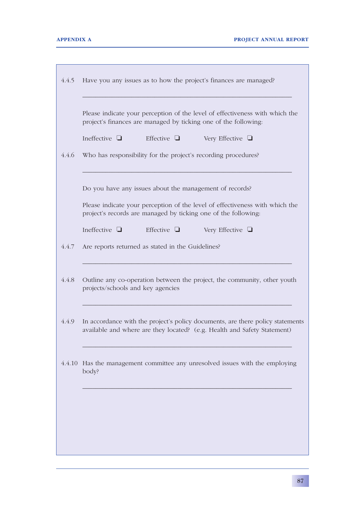|       | Please indicate your perception of the level of effectiveness with which the<br>project's finances are managed by ticking one of the following:            |
|-------|------------------------------------------------------------------------------------------------------------------------------------------------------------|
|       | Effective $\Box$<br>Ineffective $\Box$<br>Very Effective $\Box$                                                                                            |
| 4.4.6 | Who has responsibility for the project's recording procedures?                                                                                             |
|       | Do you have any issues about the management of records?                                                                                                    |
|       | Please indicate your perception of the level of effectiveness with which the<br>project's records are managed by ticking one of the following:             |
|       | Effective $\Box$<br>Ineffective $\Box$<br>Very Effective $\Box$                                                                                            |
| 4.4.7 | Are reports returned as stated in the Guidelines?                                                                                                          |
| 4.4.8 | Outline any co-operation between the project, the community, other youth<br>projects/schools and key agencies                                              |
| 4.4.9 | In accordance with the project's policy documents, are there policy statements<br>available and where are they located? (e.g. Health and Safety Statement) |
|       | 4.4.10 Has the management committee any unresolved issues with the employing<br>body?                                                                      |
|       |                                                                                                                                                            |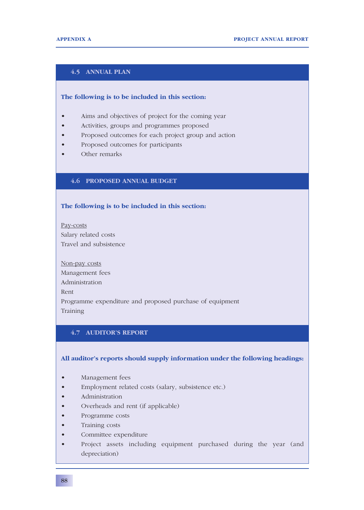### **4.5 ANNUAL PLAN**

### **The following is to be included in this section:**

- Aims and objectives of project for the coming year
- Activities, groups and programmes proposed
- Proposed outcomes for each project group and action
- Proposed outcomes for participants
- Other remarks

### **4.6 PROPOSED ANNUAL BUDGET**

### **The following is to be included in this section:**

Pay-costs Salary related costs Travel and subsistence

Non-pay costs Management fees Administration Rent Programme expenditure and proposed purchase of equipment Training

### **4.7 AUDITOR'S REPORT**

### **All auditor's reports should supply information under the following headings:**

- Management fees
- Employment related costs (salary, subsistence etc.)
- Administration
- Overheads and rent (if applicable)
- Programme costs
- Training costs
- Committee expenditure
- Project assets including equipment purchased during the year (and depreciation)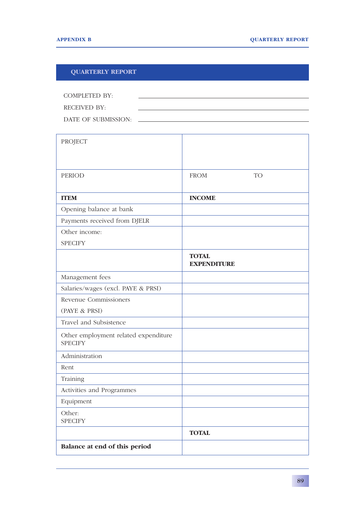### **QUARTERLY REPORT**

| COMPLETED BY:       |  |
|---------------------|--|
| RECEIVED BY:        |  |
| DATE OF SUBMISSION: |  |

| PROJECT                                                |                                    |
|--------------------------------------------------------|------------------------------------|
| <b>PERIOD</b>                                          | <b>TO</b><br><b>FROM</b>           |
| <b>ITEM</b>                                            | <b>INCOME</b>                      |
| Opening balance at bank                                |                                    |
| Payments received from DJELR                           |                                    |
| Other income:                                          |                                    |
| <b>SPECIFY</b>                                         |                                    |
|                                                        | <b>TOTAL</b><br><b>EXPENDITURE</b> |
| Management fees                                        |                                    |
| Salaries/wages (excl. PAYE & PRSI)                     |                                    |
| Revenue Commissioners                                  |                                    |
| (PAYE & PRSI)                                          |                                    |
| Travel and Subsistence                                 |                                    |
| Other employment related expenditure<br><b>SPECIFY</b> |                                    |
| Administration                                         |                                    |
| Rent                                                   |                                    |
| Training                                               |                                    |
| Activities and Programmes                              |                                    |
| Equipment                                              |                                    |
| Other:<br><b>SPECIFY</b>                               |                                    |
|                                                        | <b>TOTAL</b>                       |
| Balance at end of this period                          |                                    |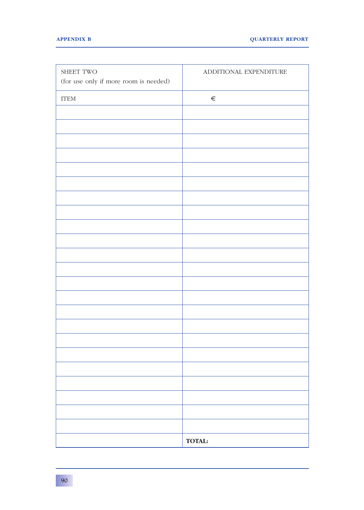| SHEET TWO                             | ADDITIONAL EXPENDITURE |
|---------------------------------------|------------------------|
| (for use only if more room is needed) |                        |
| $\operatorname{ITEM}$                 | $\in$                  |
|                                       |                        |
|                                       |                        |
|                                       |                        |
|                                       |                        |
|                                       |                        |
|                                       |                        |
|                                       |                        |
|                                       |                        |
|                                       |                        |
|                                       |                        |
|                                       |                        |
|                                       |                        |
|                                       |                        |
|                                       |                        |
|                                       |                        |
|                                       |                        |
|                                       |                        |
|                                       |                        |
|                                       |                        |
|                                       |                        |
|                                       |                        |
|                                       |                        |
|                                       |                        |
|                                       | <b>TOTAL:</b>          |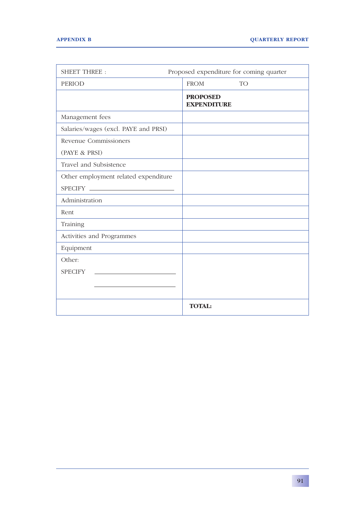| <b>SHEET THREE:</b>                                        | Proposed expenditure for coming quarter |
|------------------------------------------------------------|-----------------------------------------|
| <b>PERIOD</b>                                              | <b>FROM</b><br><b>TO</b>                |
|                                                            | <b>PROPOSED</b><br><b>EXPENDITURE</b>   |
| Management fees                                            |                                         |
| Salaries/wages (excl. PAYE and PRSI)                       |                                         |
| Revenue Commissioners                                      |                                         |
| (PAYE & PRSI)                                              |                                         |
| Travel and Subsistence                                     |                                         |
| Other employment related expenditure                       |                                         |
| SPECIFY ____________________                               |                                         |
| Administration                                             |                                         |
| Rent                                                       |                                         |
| Training                                                   |                                         |
| Activities and Programmes                                  |                                         |
| Equipment                                                  |                                         |
| Other:                                                     |                                         |
| <b>SPECIFY</b><br><u> 1980 - Johann Barbara, martxa al</u> |                                         |
|                                                            |                                         |
|                                                            |                                         |
|                                                            | <b>TOTAL:</b>                           |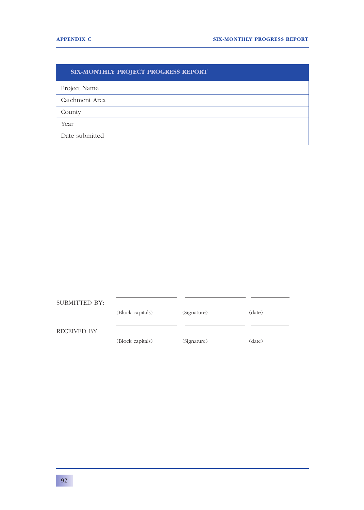### **SIX-MONTHLY PROJECT PROGRESS REPORT**

Project Name

Catchment Area

County

Year

Date submitted

SUBMITTED BY: (Block capitals) (Signature) (date) RECEIVED BY: (Block capitals) (Signature) (date)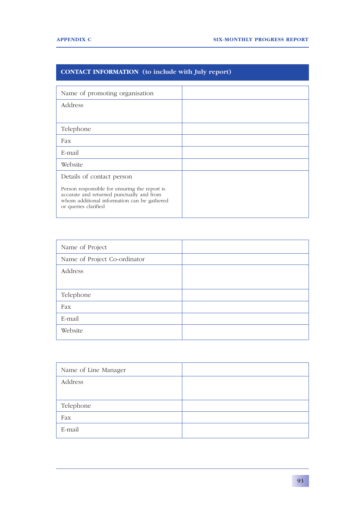### **CONTACT INFORMATION (to include with July report)**

| Name of promoting organisation                                                                                                                                    |  |
|-------------------------------------------------------------------------------------------------------------------------------------------------------------------|--|
| Address                                                                                                                                                           |  |
|                                                                                                                                                                   |  |
| Telephone                                                                                                                                                         |  |
| Fax                                                                                                                                                               |  |
| E-mail                                                                                                                                                            |  |
| Website                                                                                                                                                           |  |
| Details of contact person                                                                                                                                         |  |
| Person responsible for ensuring the report is<br>accurate and returned punctually and from<br>whom additional information can be gathered<br>or queries clarified |  |

| Name of Project              |  |
|------------------------------|--|
| Name of Project Co-ordinator |  |
| Address                      |  |
|                              |  |
| Telephone                    |  |
| Fax                          |  |
| E-mail                       |  |
| Website                      |  |

| Name of Line Manager |  |
|----------------------|--|
| Address              |  |
|                      |  |
| Telephone            |  |
| Fax                  |  |
| E-mail               |  |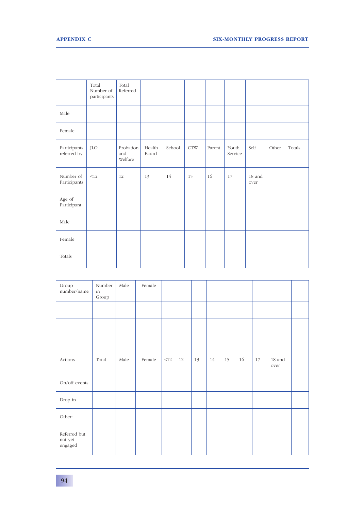|                             | Total<br>Number of<br>participants | Total<br>Referred           |                 |        |            |        |                  |                |       |        |
|-----------------------------|------------------------------------|-----------------------------|-----------------|--------|------------|--------|------------------|----------------|-------|--------|
| Male                        |                                    |                             |                 |        |            |        |                  |                |       |        |
| Female                      |                                    |                             |                 |        |            |        |                  |                |       |        |
| Participants<br>referred by | <b>JLO</b>                         | Probation<br>and<br>Welfare | Health<br>Board | School | <b>CTW</b> | Parent | Youth<br>Service | Self           | Other | Totals |
| Number of<br>Participants   | <12                                | 12                          | 13              | 14     | 15         | 16     | 17               | 18 and<br>over |       |        |
| Age of<br>Participant       |                                    |                             |                 |        |            |        |                  |                |       |        |
| Male                        |                                    |                             |                 |        |            |        |                  |                |       |        |
| Female                      |                                    |                             |                 |        |            |        |                  |                |       |        |
| Totals                      |                                    |                             |                 |        |            |        |                  |                |       |        |

| Group<br>number/name               | Number<br>in<br>Group | Male | Female |     |           |    |    |    |    |    |                    |  |
|------------------------------------|-----------------------|------|--------|-----|-----------|----|----|----|----|----|--------------------|--|
|                                    |                       |      |        |     |           |    |    |    |    |    |                    |  |
|                                    |                       |      |        |     |           |    |    |    |    |    |                    |  |
|                                    |                       |      |        |     |           |    |    |    |    |    |                    |  |
| Actions                            | Total                 | Male | Female | <12 | $\mid$ 12 | 13 | 14 | 15 | 16 | 17 | $18\,$ and<br>over |  |
| On/off events                      |                       |      |        |     |           |    |    |    |    |    |                    |  |
| Drop in                            |                       |      |        |     |           |    |    |    |    |    |                    |  |
| Other:                             |                       |      |        |     |           |    |    |    |    |    |                    |  |
| Referred but<br>not yet<br>engaged |                       |      |        |     |           |    |    |    |    |    |                    |  |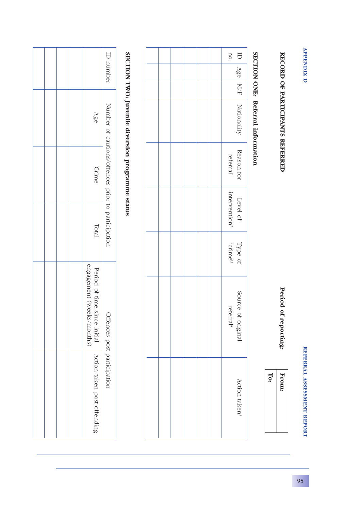| ĵ<br>c |
|--------|
|        |
|        |
|        |

### REFERRAL ASSESSMENT REPORT **REFERRAL ASSESSMENT REPORT**

## RECORD OF PARTICIPANTS REFERRED **RECORD OF PARTICIPANTS REFERRED**

Period of reporting:  **Period of reporting:**

 **From: To:** 

## SECTION ONE: Referral information **SECTION ONE: Referral information**

|  |  |  | no.                                               |
|--|--|--|---------------------------------------------------|
|  |  |  |                                                   |
|  |  |  |                                                   |
|  |  |  | ID $\vert$ Age $\vert$ M/F $\vert$ Nationality    |
|  |  |  | Reason for<br>referral <sup>1</sup>               |
|  |  |  | Level of<br>intervention <sup>2</sup>             |
|  |  |  | $_{\rm ^{e}$ sums). Fype of                       |
|  |  |  | Source<br>$\mathcal{L}$ of original referral<br>" |
|  |  |  | Action taken <sup>5</sup>                         |

# SECTION TWO: Juvenile diversion programme status **SECTION TWO: Juvenile diversion programme status**

|  |  |                                                            | ID number                                          |
|--|--|------------------------------------------------------------|----------------------------------------------------|
|  |  | Age                                                        |                                                    |
|  |  | <b>Crime</b>                                               | Number of cautions/offences prior to participation |
|  |  | Total                                                      |                                                    |
|  |  | engagement (weeks/months)                                  |                                                    |
|  |  | Period of time since initial   Action taken post offending | Offences post participation                        |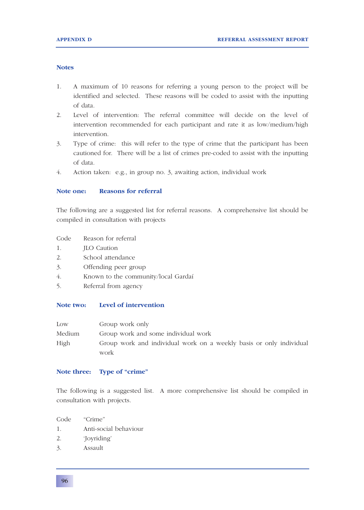### **Notes**

- 1. A maximum of 10 reasons for referring a young person to the project will be identified and selected. These reasons will be coded to assist with the inputting of data.
- 2. Level of intervention: The referral committee will decide on the level of intervention recommended for each participant and rate it as low/medium/high intervention.
- 3. Type of crime: this will refer to the type of crime that the participant has been cautioned for. There will be a list of crimes pre-coded to assist with the inputting of data.
- 4. Action taken: e.g., in group no. 3, awaiting action, individual work

### **Note one: Reasons for referral**

The following are a suggested list for referral reasons. A comprehensive list should be compiled in consultation with projects

- Code Reason for referral
- 1. JLO Caution
- 2. School attendance
- 3. Offending peer group
- 4. Known to the community/local Gardaí
- 5. Referral from agency

### **Note two: Level of intervention**

| Low    | Group work only                                                     |
|--------|---------------------------------------------------------------------|
| Medium | Group work and some individual work                                 |
| High   | Group work and individual work on a weekly basis or only individual |
|        | work                                                                |

### **Note three: Type of "crime"**

The following is a suggested list. A more comprehensive list should be compiled in consultation with projects.

- Code "Crime"
- 1. Anti-social behaviour
- 2. 'Joyriding'
- 3. Assault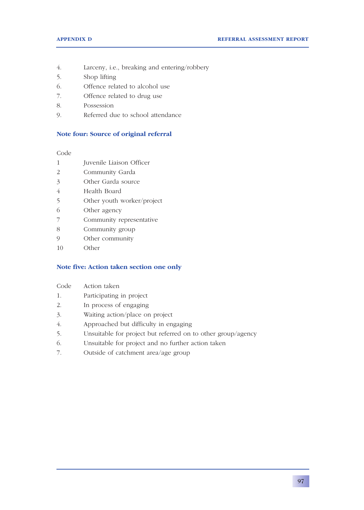- 4. Larceny, i.e., breaking and entering/robbery
- 5. Shop lifting
- 6. Offence related to alcohol use
- 7. Offence related to drug use
- 8. Possession
- 9. Referred due to school attendance

### **Note four: Source of original referral**

Code

- 1 Juvenile Liaison Officer
- 2 Community Garda
- 3 Other Garda source
- 4 Health Board
- 5 Other youth worker/project
- 6 Other agency
- 7 Community representative
- 8 Community group
- 9 Other community
- 10 Other

### **Note five: Action taken section one only**

- Code Action taken
- 1. Participating in project
- 2. In process of engaging
- 3. Waiting action/place on project
- 4. Approached but difficulty in engaging
- 5. Unsuitable for project but referred on to other group/agency
- 6. Unsuitable for project and no further action taken
- 7. Outside of catchment area/age group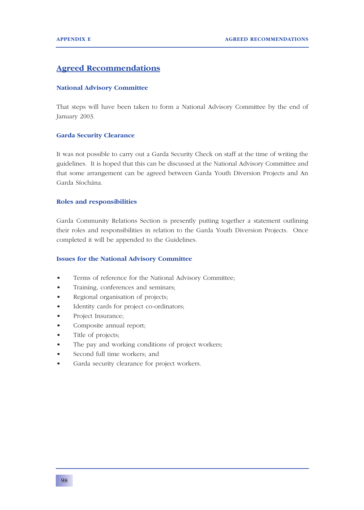### **Agreed Recommendations**

### **National Advisory Committee**

That steps will have been taken to form a National Advisory Committee by the end of January 2003.

### **Garda Security Clearance**

It was not possible to carry out a Garda Security Check on staff at the time of writing the guidelines. It is hoped that this can be discussed at the National Advisory Committee and that some arrangement can be agreed between Garda Youth Diversion Projects and An Garda Síochána.

### **Roles and responsibilities**

Garda Community Relations Section is presently putting together a statement outlining their roles and responsibilities in relation to the Garda Youth Diversion Projects. Once completed it will be appended to the Guidelines.

### **Issues for the National Advisory Committee**

- Terms of reference for the National Advisory Committee;
- Training, conferences and seminars;
- Regional organisation of projects;
- Identity cards for project co-ordinators;
- Project Insurance;
- Composite annual report;
- Title of projects;
- The pay and working conditions of project workers;
- Second full time workers; and
- Garda security clearance for project workers.